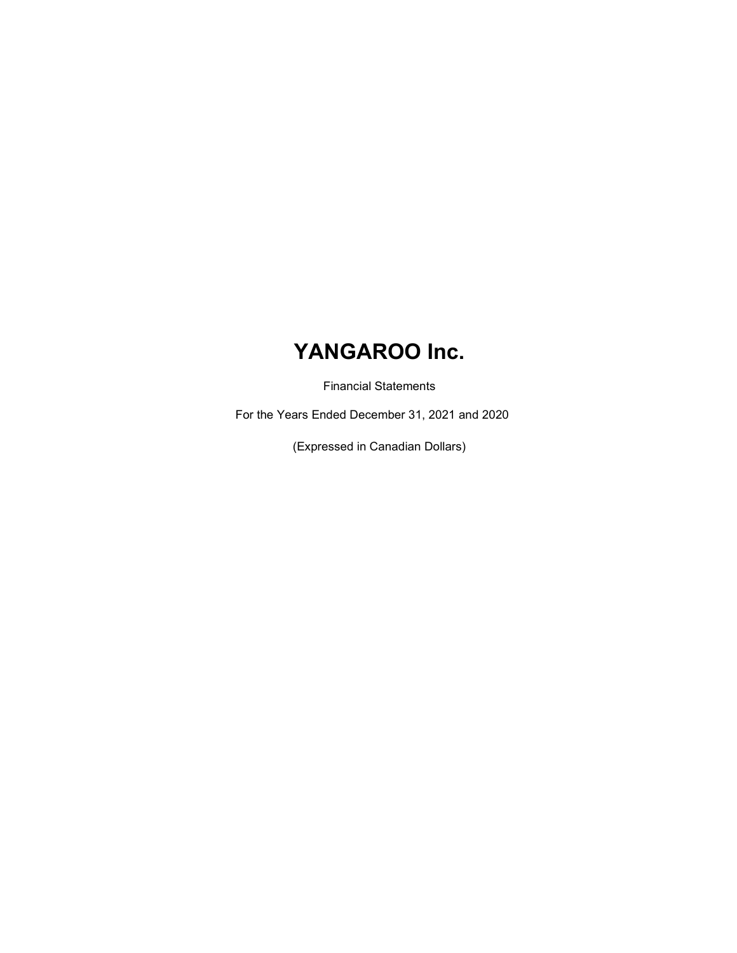Financial Statements

For the Years Ended December 31, 2021 and 2020

(Expressed in Canadian Dollars)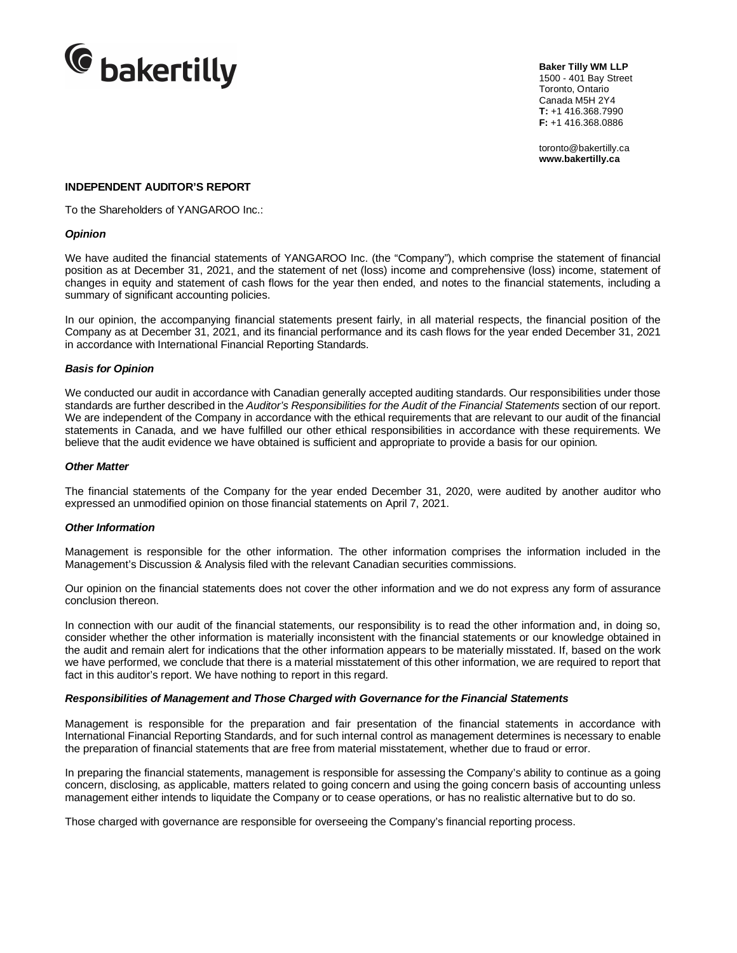

**Baker Tilly WM LLP** 1500 - 401 Bay Street Toronto, Ontario Canada M5H 2Y4 **T:** +1 416.368.7990 **F:** +1 416.368.0886

toronto@bakertilly.ca **www.bakertilly.ca**

#### **INDEPENDENT AUDITOR'S REPORT**

To the Shareholders of YANGAROO Inc.:

#### *Opinion*

We have audited the financial statements of YANGAROO Inc. (the "Company"), which comprise the statement of financial position as at December 31, 2021, and the statement of net (loss) income and comprehensive (loss) income, statement of changes in equity and statement of cash flows for the year then ended, and notes to the financial statements, including a summary of significant accounting policies.

In our opinion, the accompanying financial statements present fairly, in all material respects, the financial position of the Company as at December 31, 2021, and its financial performance and its cash flows for the year ended December 31, 2021 in accordance with International Financial Reporting Standards.

#### *Basis for Opinion*

We conducted our audit in accordance with Canadian generally accepted auditing standards. Our responsibilities under those standards are further described in the *Auditor's Responsibilities for the Audit of the Financial Statements* section of our report. We are independent of the Company in accordance with the ethical requirements that are relevant to our audit of the financial statements in Canada, and we have fulfilled our other ethical responsibilities in accordance with these requirements. We believe that the audit evidence we have obtained is sufficient and appropriate to provide a basis for our opinion.

#### *Other Matter*

The financial statements of the Company for the year ended December 31, 2020, were audited by another auditor who expressed an unmodified opinion on those financial statements on April 7, 2021.

#### *Other Information*

Management is responsible for the other information. The other information comprises the information included in the Management's Discussion & Analysis filed with the relevant Canadian securities commissions.

Our opinion on the financial statements does not cover the other information and we do not express any form of assurance conclusion thereon.

In connection with our audit of the financial statements, our responsibility is to read the other information and, in doing so, consider whether the other information is materially inconsistent with the financial statements or our knowledge obtained in the audit and remain alert for indications that the other information appears to be materially misstated. If, based on the work we have performed, we conclude that there is a material misstatement of this other information, we are required to report that fact in this auditor's report. We have nothing to report in this regard.

#### *Responsibilities of Management and Those Charged with Governance for the Financial Statements*

Management is responsible for the preparation and fair presentation of the financial statements in accordance with International Financial Reporting Standards, and for such internal control as management determines is necessary to enable the preparation of financial statements that are free from material misstatement, whether due to fraud or error.

In preparing the financial statements, management is responsible for assessing the Company's ability to continue as a going concern, disclosing, as applicable, matters related to going concern and using the going concern basis of accounting unless management either intends to liquidate the Company or to cease operations, or has no realistic alternative but to do so.

Those charged with governance are responsible for overseeing the Company's financial reporting process.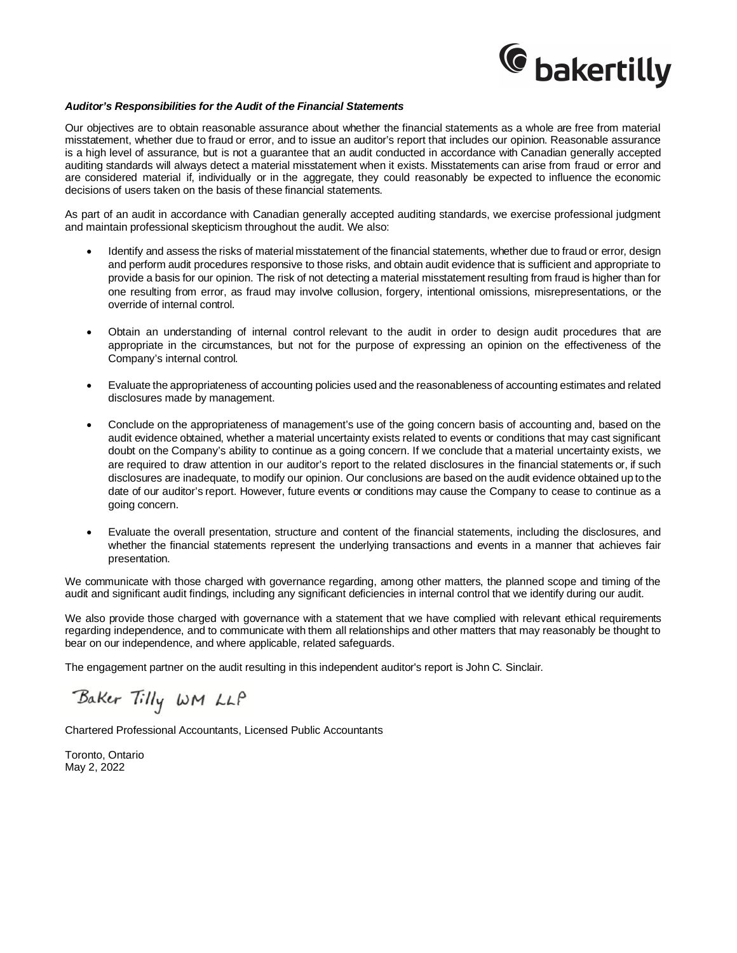

#### *Auditor's Responsibilities for the Audit of the Financial Statements*

Our objectives are to obtain reasonable assurance about whether the financial statements as a whole are free from material misstatement, whether due to fraud or error, and to issue an auditor's report that includes our opinion. Reasonable assurance is a high level of assurance, but is not a guarantee that an audit conducted in accordance with Canadian generally accepted auditing standards will always detect a material misstatement when it exists. Misstatements can arise from fraud or error and are considered material if, individually or in the aggregate, they could reasonably be expected to influence the economic decisions of users taken on the basis of these financial statements.

As part of an audit in accordance with Canadian generally accepted auditing standards, we exercise professional judgment and maintain professional skepticism throughout the audit. We also:

- Identify and assess the risks of material misstatement of the financial statements, whether due to fraud or error, design and perform audit procedures responsive to those risks, and obtain audit evidence that is sufficient and appropriate to provide a basis for our opinion. The risk of not detecting a material misstatement resulting from fraud is higher than for one resulting from error, as fraud may involve collusion, forgery, intentional omissions, misrepresentations, or the override of internal control.
- Obtain an understanding of internal control relevant to the audit in order to design audit procedures that are appropriate in the circumstances, but not for the purpose of expressing an opinion on the effectiveness of the Company's internal control.
- Evaluate the appropriateness of accounting policies used and the reasonableness of accounting estimates and related disclosures made by management.
- Conclude on the appropriateness of management's use of the going concern basis of accounting and, based on the audit evidence obtained, whether a material uncertainty exists related to events or conditions that may cast significant doubt on the Company's ability to continue as a going concern. If we conclude that a material uncertainty exists, we are required to draw attention in our auditor's report to the related disclosures in the financial statements or, if such disclosures are inadequate, to modify our opinion. Our conclusions are based on the audit evidence obtained up to the date of our auditor's report. However, future events or conditions may cause the Company to cease to continue as a going concern.
- Evaluate the overall presentation, structure and content of the financial statements, including the disclosures, and whether the financial statements represent the underlying transactions and events in a manner that achieves fair presentation.

We communicate with those charged with governance regarding, among other matters, the planned scope and timing of the audit and significant audit findings, including any significant deficiencies in internal control that we identify during our audit.

We also provide those charged with governance with a statement that we have complied with relevant ethical requirements regarding independence, and to communicate with them all relationships and other matters that may reasonably be thought to bear on our independence, and where applicable, related safeguards.

The engagement partner on the audit resulting in this independent auditor's report is John C. Sinclair.

Baker Tilly WM LLP

Chartered Professional Accountants, Licensed Public Accountants

Toronto, Ontario May 2, 2022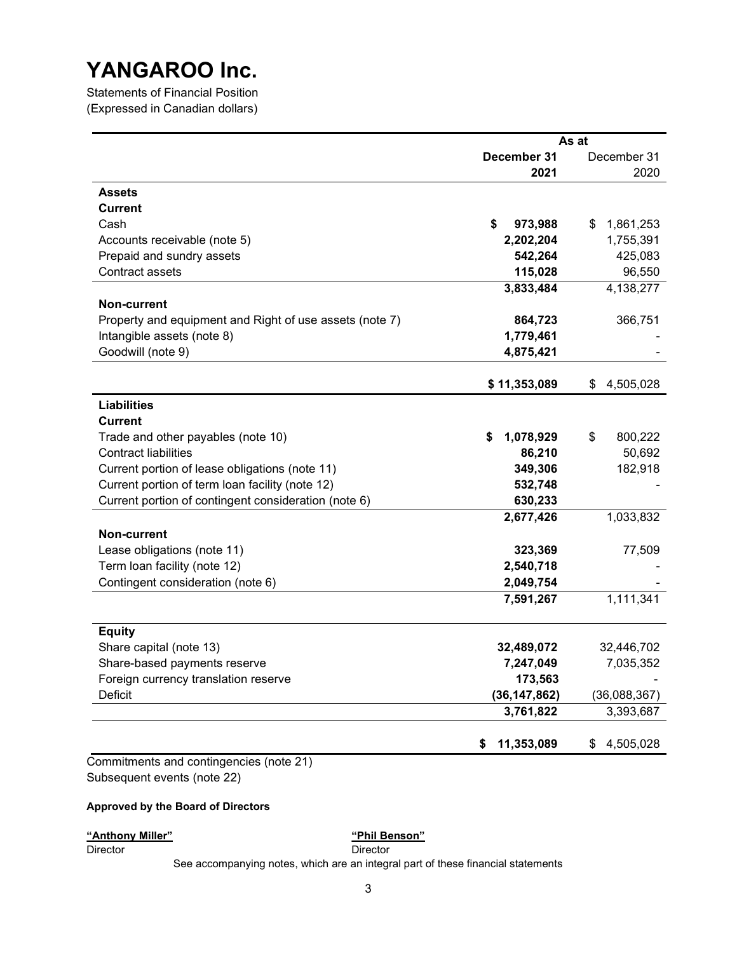Statements of Financial Position (Expressed in Canadian dollars)

|                                                         |                  | As at           |
|---------------------------------------------------------|------------------|-----------------|
|                                                         | December 31      | December 31     |
|                                                         | 2021             | 2020            |
| <b>Assets</b>                                           |                  |                 |
| <b>Current</b>                                          |                  |                 |
| Cash                                                    | \$<br>973,988    | 1,861,253<br>S  |
| Accounts receivable (note 5)                            | 2,202,204        | 1,755,391       |
| Prepaid and sundry assets                               | 542,264          | 425,083         |
| Contract assets                                         | 115,028          | 96,550          |
|                                                         | 3,833,484        | 4,138,277       |
| Non-current                                             |                  |                 |
| Property and equipment and Right of use assets (note 7) | 864,723          | 366,751         |
| Intangible assets (note 8)                              | 1,779,461        |                 |
| Goodwill (note 9)                                       | 4,875,421        |                 |
|                                                         | \$11,353,089     | 4,505,028<br>\$ |
| <b>Liabilities</b>                                      |                  |                 |
| <b>Current</b>                                          |                  |                 |
| Trade and other payables (note 10)                      | 1,078,929<br>S   | \$<br>800,222   |
| <b>Contract liabilities</b>                             | 86,210           | 50,692          |
| Current portion of lease obligations (note 11)          | 349,306          | 182,918         |
| Current portion of term loan facility (note 12)         | 532,748          |                 |
| Current portion of contingent consideration (note 6)    | 630,233          |                 |
|                                                         | 2,677,426        | 1,033,832       |
| <b>Non-current</b>                                      |                  |                 |
| Lease obligations (note 11)                             | 323,369          | 77,509          |
| Term loan facility (note 12)                            | 2,540,718        |                 |
| Contingent consideration (note 6)                       | 2,049,754        |                 |
|                                                         | 7,591,267        | 1,111,341       |
|                                                         |                  |                 |
| <b>Equity</b>                                           |                  |                 |
| Share capital (note 13)                                 | 32,489,072       | 32,446,702      |
| Share-based payments reserve                            | 7,247,049        | 7,035,352       |
| Foreign currency translation reserve                    | 173,563          |                 |
| Deficit                                                 | (36, 147, 862)   | (36,088,367)    |
|                                                         | 3,761,822        | 3,393,687       |
|                                                         | 11,353,089<br>\$ | 4,505,028<br>\$ |

#### Approved by the Board of Directors

### "Anthony Miller" National Communication of the "Phil Benson"

Director Director

See accompanying notes, which are an integral part of these financial statements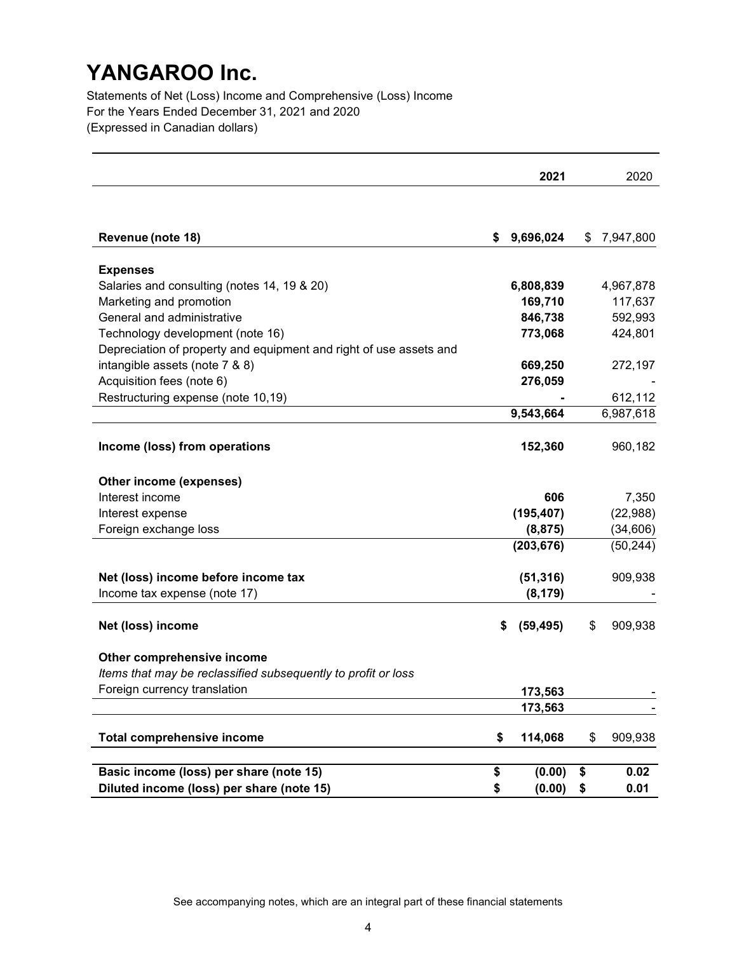Statements of Net (Loss) Income and Comprehensive (Loss) Income For the Years Ended December 31, 2021 and 2020 (Expressed in Canadian dollars)

|                                                                                             |    | 2021       | 2020          |
|---------------------------------------------------------------------------------------------|----|------------|---------------|
|                                                                                             |    |            |               |
|                                                                                             |    |            |               |
| Revenue (note 18)                                                                           | \$ | 9,696,024  | \$7,947,800   |
| <b>Expenses</b>                                                                             |    |            |               |
| Salaries and consulting (notes 14, 19 & 20)                                                 |    | 6,808,839  | 4,967,878     |
| Marketing and promotion                                                                     |    | 169,710    | 117,637       |
| General and administrative                                                                  |    | 846,738    | 592,993       |
| Technology development (note 16)                                                            |    | 773,068    | 424,801       |
| Depreciation of property and equipment and right of use assets and                          |    |            |               |
| intangible assets (note 7 & 8)                                                              |    | 669,250    | 272,197       |
| Acquisition fees (note 6)                                                                   |    | 276,059    |               |
| Restructuring expense (note 10,19)                                                          |    |            | 612,112       |
|                                                                                             |    | 9,543,664  | 6,987,618     |
|                                                                                             |    |            |               |
| Income (loss) from operations                                                               |    | 152,360    | 960,182       |
| Other income (expenses)                                                                     |    |            |               |
| Interest income                                                                             |    | 606        | 7,350         |
| Interest expense                                                                            |    | (195, 407) | (22, 988)     |
| Foreign exchange loss                                                                       |    | (8, 875)   | (34, 606)     |
|                                                                                             |    | (203, 676) | (50, 244)     |
|                                                                                             |    |            |               |
| Net (loss) income before income tax                                                         |    | (51, 316)  | 909,938       |
| Income tax expense (note 17)                                                                |    | (8, 179)   |               |
|                                                                                             |    |            |               |
| Net (loss) income                                                                           | S  | (59, 495)  | \$<br>909,938 |
|                                                                                             |    |            |               |
| Other comprehensive income<br>Items that may be reclassified subsequently to profit or loss |    |            |               |
| Foreign currency translation                                                                |    |            |               |
|                                                                                             |    | 173,563    |               |
|                                                                                             |    | 173,563    |               |
| <b>Total comprehensive income</b>                                                           | \$ | 114,068    | \$<br>909,938 |
|                                                                                             |    |            |               |
| Basic income (loss) per share (note 15)                                                     | \$ | (0.00)     | \$<br>0.02    |
| Diluted income (loss) per share (note 15)                                                   | \$ | (0.00)     | \$<br>0.01    |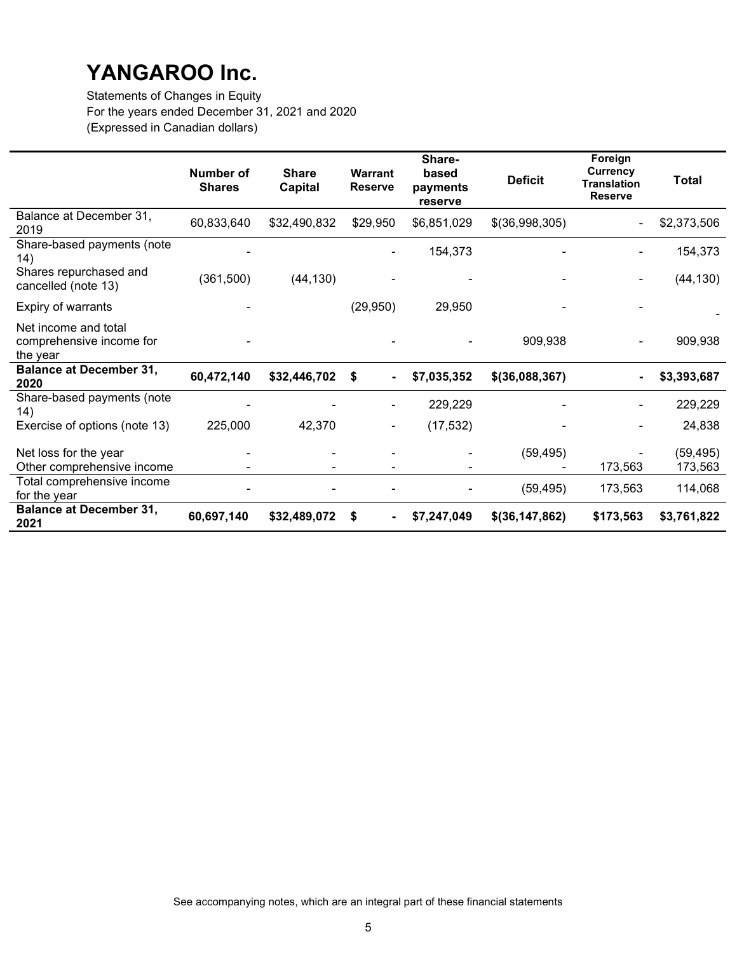Statements of Changes in Equity For the years ended December 31, 2021 and 2020 (Expressed in Canadian dollars)

|                                                              | Number of<br><b>Shares</b> | <b>Share</b><br><b>Capital</b> | <b>Warrant</b><br><b>Reserve</b> | Share-<br>based<br>payments<br>reserve | <b>Deficit</b>   | Foreign<br>Currency<br><b>Translation</b><br><b>Reserve</b> | <b>Total</b>         |
|--------------------------------------------------------------|----------------------------|--------------------------------|----------------------------------|----------------------------------------|------------------|-------------------------------------------------------------|----------------------|
| Balance at December 31,<br>2019                              | 60,833,640                 | \$32,490,832                   | \$29,950                         | \$6,851,029                            | \$(36,998,305)   |                                                             | \$2,373,506          |
| Share-based payments (note<br>(14)                           |                            |                                |                                  | 154,373                                |                  |                                                             | 154,373              |
| Shares repurchased and<br>cancelled (note 13)                | (361, 500)                 | (44, 130)                      |                                  |                                        |                  |                                                             | (44, 130)            |
| Expiry of warrants                                           |                            |                                | (29, 950)                        | 29,950                                 |                  |                                                             |                      |
| Net income and total<br>comprehensive income for<br>the year |                            |                                |                                  |                                        | 909,938          |                                                             | 909,938              |
| <b>Balance at December 31,</b><br>2020                       | 60,472,140                 | \$32,446,702                   | \$<br>$\blacksquare$             | \$7,035,352                            | $$$ (36,088,367) |                                                             | \$3,393,687          |
| Share-based payments (note<br>14)                            |                            |                                |                                  | 229,229                                |                  |                                                             | 229,229              |
| Exercise of options (note 13)                                | 225,000                    | 42,370                         |                                  | (17, 532)                              |                  |                                                             | 24,838               |
| Net loss for the year<br>Other comprehensive income          |                            |                                |                                  |                                        | (59, 495)        | 173,563                                                     | (59, 495)<br>173,563 |
| Total comprehensive income<br>for the year                   |                            |                                |                                  |                                        | (59, 495)        | 173,563                                                     | 114,068              |
| <b>Balance at December 31,</b><br>2021                       | 60,697,140                 | \$32,489,072                   | \$<br>۰.                         | \$7,247,049                            | $$$ (36,147,862) | \$173,563                                                   | \$3,761,822          |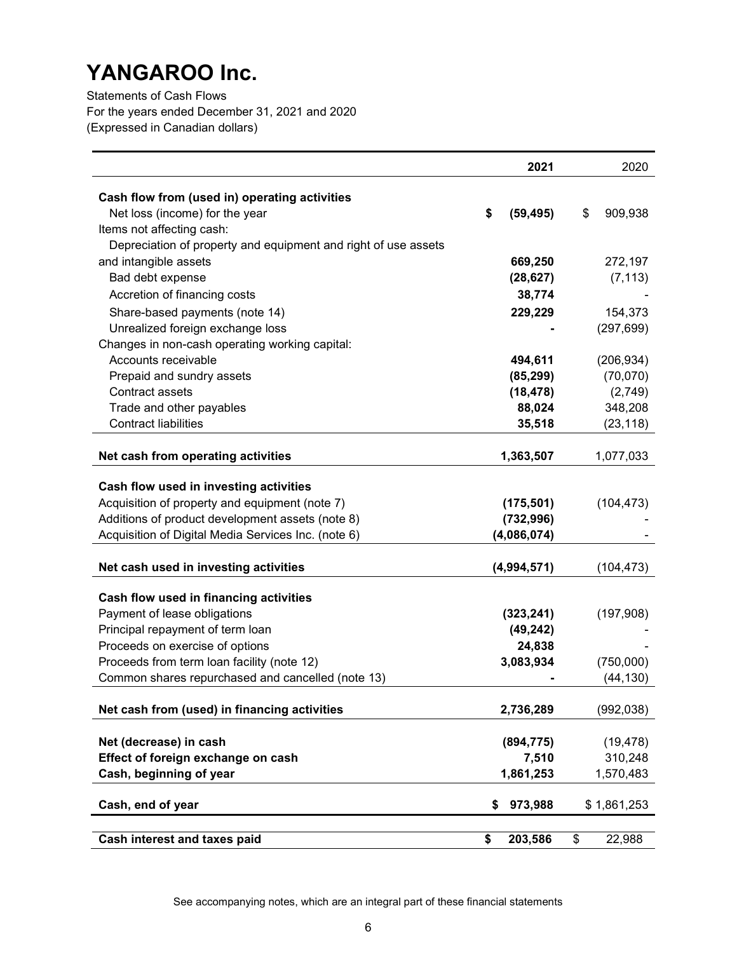Statements of Cash Flows For the years ended December 31, 2021 and 2020 (Expressed in Canadian dollars)

|                                                                | 2021            | 2020          |
|----------------------------------------------------------------|-----------------|---------------|
|                                                                |                 |               |
| Cash flow from (used in) operating activities                  |                 |               |
| Net loss (income) for the year<br>Items not affecting cash:    | \$<br>(59, 495) | \$<br>909,938 |
| Depreciation of property and equipment and right of use assets |                 |               |
| and intangible assets                                          | 669,250         | 272,197       |
| Bad debt expense                                               | (28, 627)       | (7, 113)      |
|                                                                |                 |               |
| Accretion of financing costs                                   | 38,774          |               |
| Share-based payments (note 14)                                 | 229,229         | 154,373       |
| Unrealized foreign exchange loss                               |                 | (297, 699)    |
| Changes in non-cash operating working capital:                 |                 |               |
| Accounts receivable                                            | 494,611         | (206, 934)    |
| Prepaid and sundry assets                                      | (85, 299)       | (70,070)      |
| Contract assets                                                | (18, 478)       | (2,749)       |
| Trade and other payables                                       | 88,024          | 348,208       |
| <b>Contract liabilities</b>                                    | 35,518          | (23, 118)     |
| Net cash from operating activities                             | 1,363,507       | 1,077,033     |
|                                                                |                 |               |
| Cash flow used in investing activities                         |                 |               |
| Acquisition of property and equipment (note 7)                 | (175, 501)      | (104, 473)    |
| Additions of product development assets (note 8)               | (732, 996)      |               |
| Acquisition of Digital Media Services Inc. (note 6)            | (4,086,074)     |               |
|                                                                |                 |               |
| Net cash used in investing activities                          | (4,994,571)     | (104, 473)    |
| Cash flow used in financing activities                         |                 |               |
| Payment of lease obligations                                   | (323, 241)      | (197,908)     |
| Principal repayment of term loan                               | (49, 242)       |               |
| Proceeds on exercise of options                                | 24,838          |               |
| Proceeds from term loan facility (note 12)                     | 3,083,934       | (750,000)     |
| Common shares repurchased and cancelled (note 13)              |                 | (44, 130)     |
|                                                                |                 |               |
| Net cash from (used) in financing activities                   | 2,736,289       | (992, 038)    |
|                                                                |                 |               |
| Net (decrease) in cash                                         | (894, 775)      | (19, 478)     |
| Effect of foreign exchange on cash                             | 7,510           | 310,248       |
| Cash, beginning of year                                        | 1,861,253       | 1,570,483     |
|                                                                |                 |               |
| Cash, end of year                                              | 973,988<br>\$   | \$1,861,253   |
|                                                                |                 |               |
| Cash interest and taxes paid                                   | \$<br>203,586   | \$<br>22,988  |

See accompanying notes, which are an integral part of these financial statements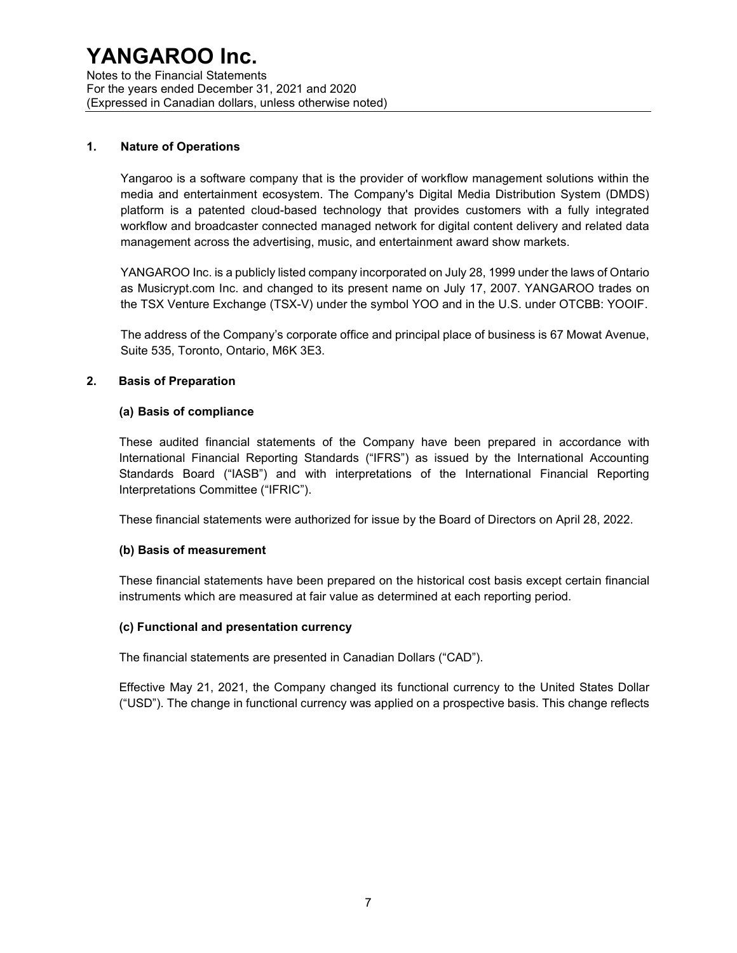Notes to the Financial Statements For the years ended December 31, 2021 and 2020 (Expressed in Canadian dollars, unless otherwise noted)

#### 1. Nature of Operations

Yangaroo is a software company that is the provider of workflow management solutions within the media and entertainment ecosystem. The Company's Digital Media Distribution System (DMDS) platform is a patented cloud-based technology that provides customers with a fully integrated workflow and broadcaster connected managed network for digital content delivery and related data management across the advertising, music, and entertainment award show markets.

YANGAROO Inc. is a publicly listed company incorporated on July 28, 1999 under the laws of Ontario as Musicrypt.com Inc. and changed to its present name on July 17, 2007. YANGAROO trades on the TSX Venture Exchange (TSX-V) under the symbol YOO and in the U.S. under OTCBB: YOOIF.

The address of the Company's corporate office and principal place of business is 67 Mowat Avenue, Suite 535, Toronto, Ontario, M6K 3E3.

### 2. Basis of Preparation

#### (a) Basis of compliance

These audited financial statements of the Company have been prepared in accordance with International Financial Reporting Standards ("IFRS") as issued by the International Accounting Standards Board ("IASB") and with interpretations of the International Financial Reporting Interpretations Committee ("IFRIC").

These financial statements were authorized for issue by the Board of Directors on April 28, 2022.

#### (b) Basis of measurement

These financial statements have been prepared on the historical cost basis except certain financial instruments which are measured at fair value as determined at each reporting period.

#### (c) Functional and presentation currency

The financial statements are presented in Canadian Dollars ("CAD").

Effective May 21, 2021, the Company changed its functional currency to the United States Dollar ("USD"). The change in functional currency was applied on a prospective basis. This change reflects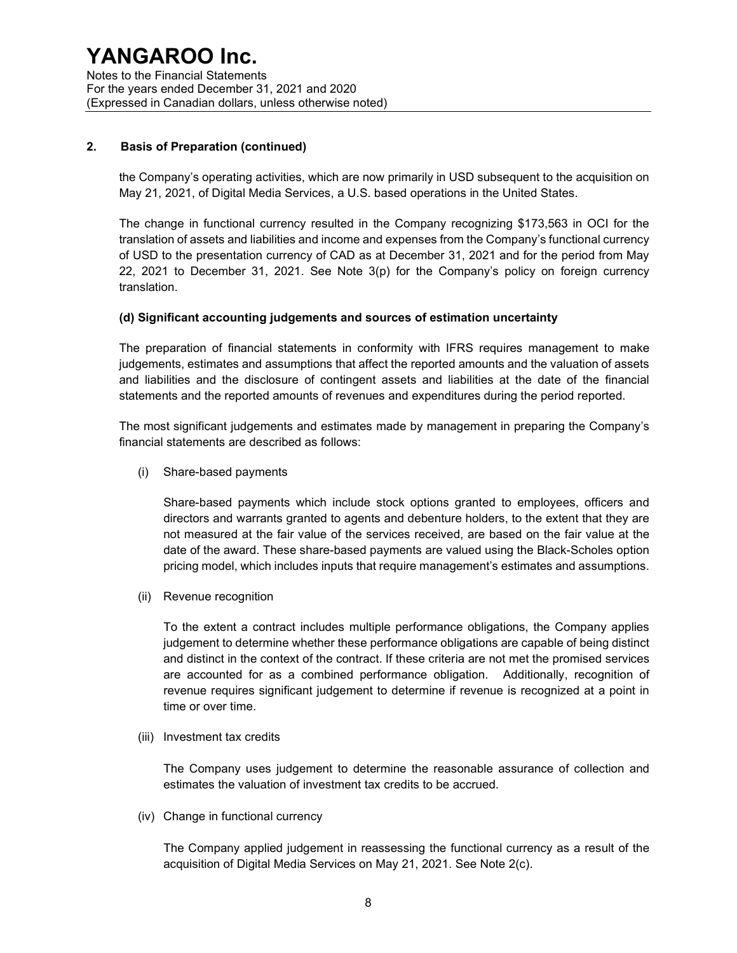#### 2. Basis of Preparation (continued)

the Company's operating activities, which are now primarily in USD subsequent to the acquisition on May 21, 2021, of Digital Media Services, a U.S. based operations in the United States.

The change in functional currency resulted in the Company recognizing \$173,563 in OCI for the translation of assets and liabilities and income and expenses from the Company's functional currency of USD to the presentation currency of CAD as at December 31, 2021 and for the period from May 22, 2021 to December 31, 2021. See Note 3(p) for the Company's policy on foreign currency translation.

#### (d) Significant accounting judgements and sources of estimation uncertainty

The preparation of financial statements in conformity with IFRS requires management to make judgements, estimates and assumptions that affect the reported amounts and the valuation of assets and liabilities and the disclosure of contingent assets and liabilities at the date of the financial statements and the reported amounts of revenues and expenditures during the period reported.

The most significant judgements and estimates made by management in preparing the Company's financial statements are described as follows:

(i) Share-based payments

Share-based payments which include stock options granted to employees, officers and directors and warrants granted to agents and debenture holders, to the extent that they are not measured at the fair value of the services received, are based on the fair value at the date of the award. These share-based payments are valued using the Black-Scholes option pricing model, which includes inputs that require management's estimates and assumptions.

(ii) Revenue recognition

To the extent a contract includes multiple performance obligations, the Company applies judgement to determine whether these performance obligations are capable of being distinct and distinct in the context of the contract. If these criteria are not met the promised services are accounted for as a combined performance obligation. Additionally, recognition of revenue requires significant judgement to determine if revenue is recognized at a point in time or over time.

(iii) Investment tax credits

The Company uses judgement to determine the reasonable assurance of collection and estimates the valuation of investment tax credits to be accrued.

(iv) Change in functional currency

The Company applied judgement in reassessing the functional currency as a result of the acquisition of Digital Media Services on May 21, 2021. See Note 2(c).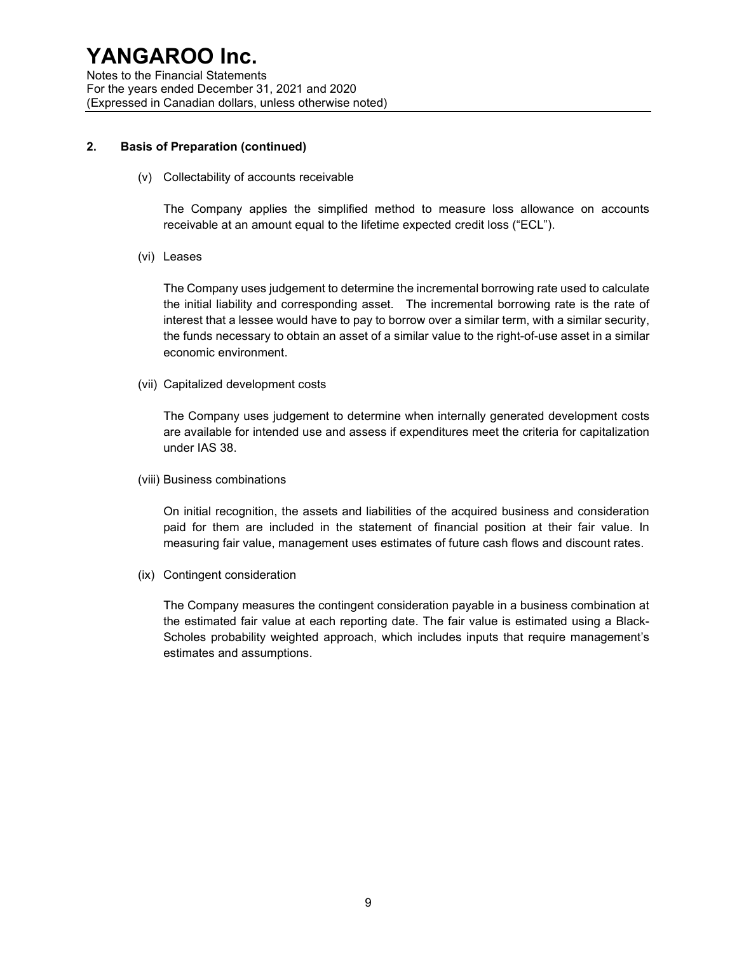#### 2. Basis of Preparation (continued)

(v) Collectability of accounts receivable

The Company applies the simplified method to measure loss allowance on accounts receivable at an amount equal to the lifetime expected credit loss ("ECL").

(vi) Leases

The Company uses judgement to determine the incremental borrowing rate used to calculate the initial liability and corresponding asset. The incremental borrowing rate is the rate of interest that a lessee would have to pay to borrow over a similar term, with a similar security, the funds necessary to obtain an asset of a similar value to the right-of-use asset in a similar economic environment.

(vii) Capitalized development costs

The Company uses judgement to determine when internally generated development costs are available for intended use and assess if expenditures meet the criteria for capitalization under IAS 38.

(viii) Business combinations

On initial recognition, the assets and liabilities of the acquired business and consideration paid for them are included in the statement of financial position at their fair value. In measuring fair value, management uses estimates of future cash flows and discount rates.

(ix) Contingent consideration

The Company measures the contingent consideration payable in a business combination at the estimated fair value at each reporting date. The fair value is estimated using a Black-Scholes probability weighted approach, which includes inputs that require management's estimates and assumptions.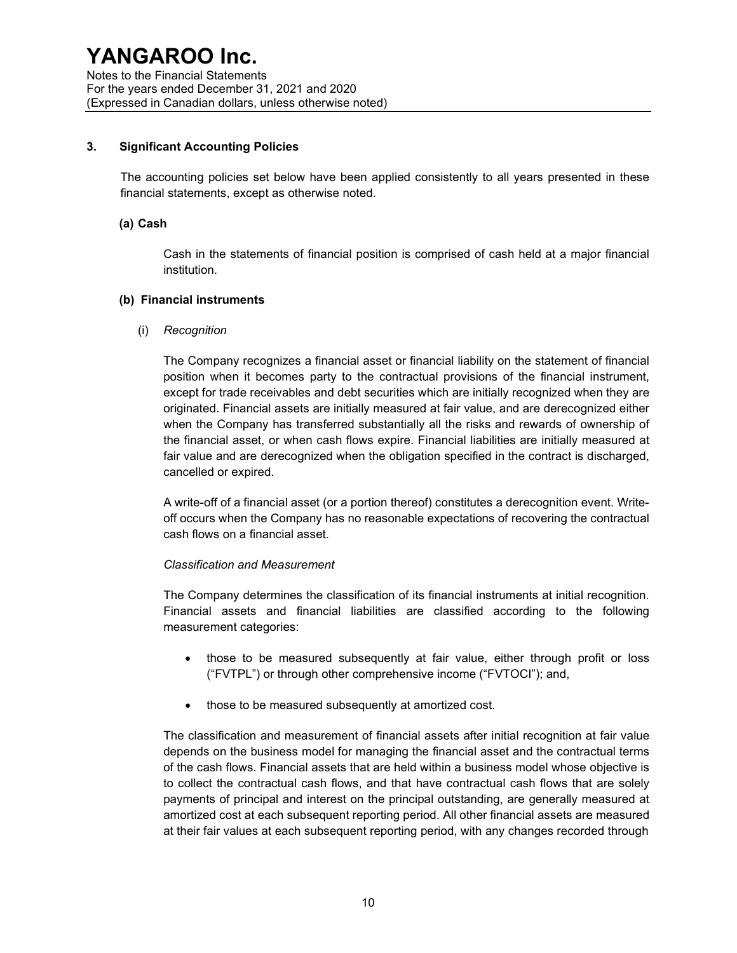#### 3. Significant Accounting Policies

The accounting policies set below have been applied consistently to all years presented in these financial statements, except as otherwise noted.

#### (a) Cash

Cash in the statements of financial position is comprised of cash held at a major financial institution.

#### (b) Financial instruments

(i) Recognition

The Company recognizes a financial asset or financial liability on the statement of financial position when it becomes party to the contractual provisions of the financial instrument, except for trade receivables and debt securities which are initially recognized when they are originated. Financial assets are initially measured at fair value, and are derecognized either when the Company has transferred substantially all the risks and rewards of ownership of the financial asset, or when cash flows expire. Financial liabilities are initially measured at fair value and are derecognized when the obligation specified in the contract is discharged, cancelled or expired.

A write-off of a financial asset (or a portion thereof) constitutes a derecognition event. Writeoff occurs when the Company has no reasonable expectations of recovering the contractual cash flows on a financial asset.

#### Classification and Measurement

The Company determines the classification of its financial instruments at initial recognition. Financial assets and financial liabilities are classified according to the following measurement categories:

- those to be measured subsequently at fair value, either through profit or loss ("FVTPL") or through other comprehensive income ("FVTOCI"); and,
- those to be measured subsequently at amortized cost.

The classification and measurement of financial assets after initial recognition at fair value depends on the business model for managing the financial asset and the contractual terms of the cash flows. Financial assets that are held within a business model whose objective is to collect the contractual cash flows, and that have contractual cash flows that are solely payments of principal and interest on the principal outstanding, are generally measured at amortized cost at each subsequent reporting period. All other financial assets are measured at their fair values at each subsequent reporting period, with any changes recorded through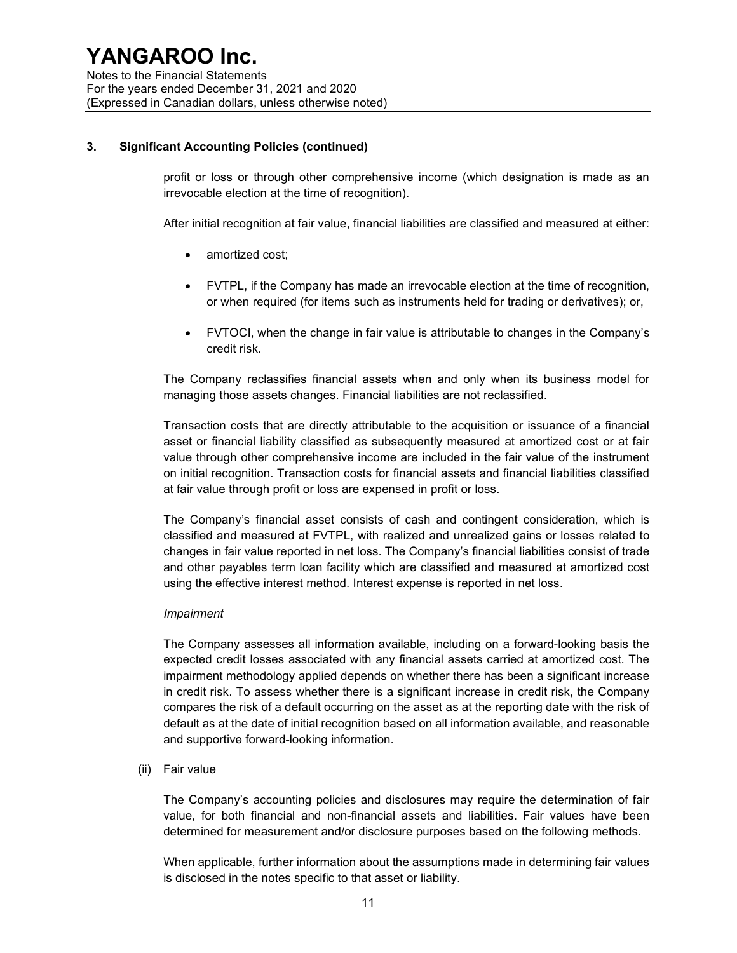### 3. Significant Accounting Policies (continued)

profit or loss or through other comprehensive income (which designation is made as an irrevocable election at the time of recognition).

After initial recognition at fair value, financial liabilities are classified and measured at either:

- amortized cost;
- FVTPL, if the Company has made an irrevocable election at the time of recognition, or when required (for items such as instruments held for trading or derivatives); or,
- FVTOCI, when the change in fair value is attributable to changes in the Company's credit risk.

The Company reclassifies financial assets when and only when its business model for managing those assets changes. Financial liabilities are not reclassified.

Transaction costs that are directly attributable to the acquisition or issuance of a financial asset or financial liability classified as subsequently measured at amortized cost or at fair value through other comprehensive income are included in the fair value of the instrument on initial recognition. Transaction costs for financial assets and financial liabilities classified at fair value through profit or loss are expensed in profit or loss.

The Company's financial asset consists of cash and contingent consideration, which is classified and measured at FVTPL, with realized and unrealized gains or losses related to changes in fair value reported in net loss. The Company's financial liabilities consist of trade and other payables term loan facility which are classified and measured at amortized cost using the effective interest method. Interest expense is reported in net loss.

#### Impairment

The Company assesses all information available, including on a forward-looking basis the expected credit losses associated with any financial assets carried at amortized cost. The impairment methodology applied depends on whether there has been a significant increase in credit risk. To assess whether there is a significant increase in credit risk, the Company compares the risk of a default occurring on the asset as at the reporting date with the risk of default as at the date of initial recognition based on all information available, and reasonable and supportive forward-looking information.

(ii) Fair value

The Company's accounting policies and disclosures may require the determination of fair value, for both financial and non-financial assets and liabilities. Fair values have been determined for measurement and/or disclosure purposes based on the following methods.

When applicable, further information about the assumptions made in determining fair values is disclosed in the notes specific to that asset or liability.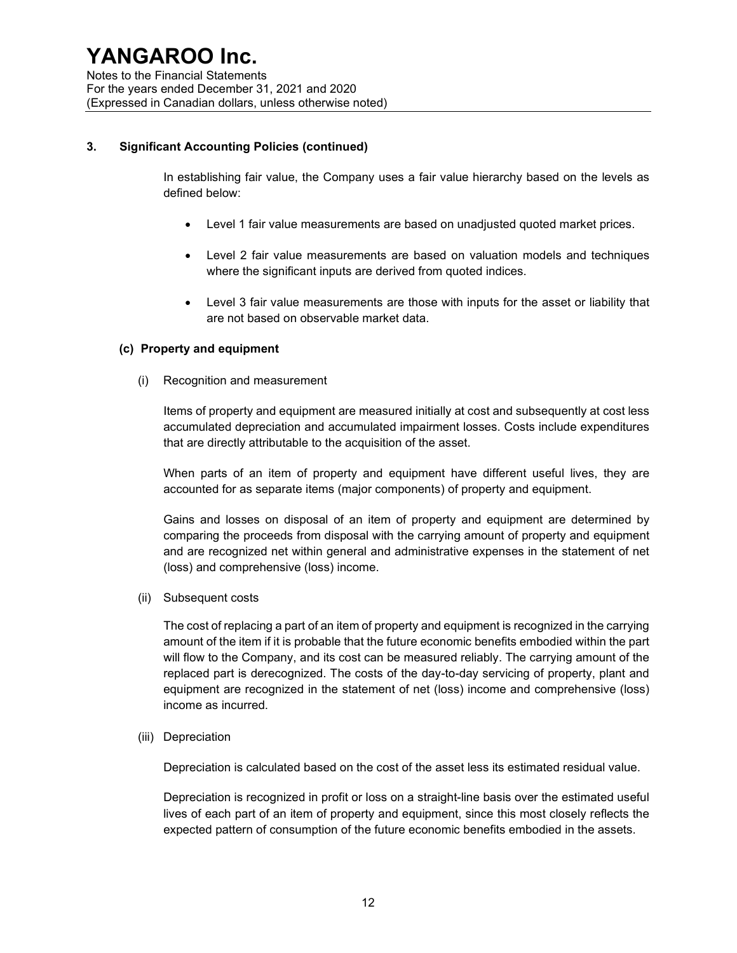### 3. Significant Accounting Policies (continued)

In establishing fair value, the Company uses a fair value hierarchy based on the levels as defined below:

- Level 1 fair value measurements are based on unadjusted quoted market prices.
- Level 2 fair value measurements are based on valuation models and techniques where the significant inputs are derived from quoted indices.
- Level 3 fair value measurements are those with inputs for the asset or liability that are not based on observable market data.

#### (c) Property and equipment

(i) Recognition and measurement

Items of property and equipment are measured initially at cost and subsequently at cost less accumulated depreciation and accumulated impairment losses. Costs include expenditures that are directly attributable to the acquisition of the asset.

When parts of an item of property and equipment have different useful lives, they are accounted for as separate items (major components) of property and equipment.

Gains and losses on disposal of an item of property and equipment are determined by comparing the proceeds from disposal with the carrying amount of property and equipment and are recognized net within general and administrative expenses in the statement of net (loss) and comprehensive (loss) income.

(ii) Subsequent costs

The cost of replacing a part of an item of property and equipment is recognized in the carrying amount of the item if it is probable that the future economic benefits embodied within the part will flow to the Company, and its cost can be measured reliably. The carrying amount of the replaced part is derecognized. The costs of the day-to-day servicing of property, plant and equipment are recognized in the statement of net (loss) income and comprehensive (loss) income as incurred.

(iii) Depreciation

Depreciation is calculated based on the cost of the asset less its estimated residual value.

Depreciation is recognized in profit or loss on a straight-line basis over the estimated useful lives of each part of an item of property and equipment, since this most closely reflects the expected pattern of consumption of the future economic benefits embodied in the assets.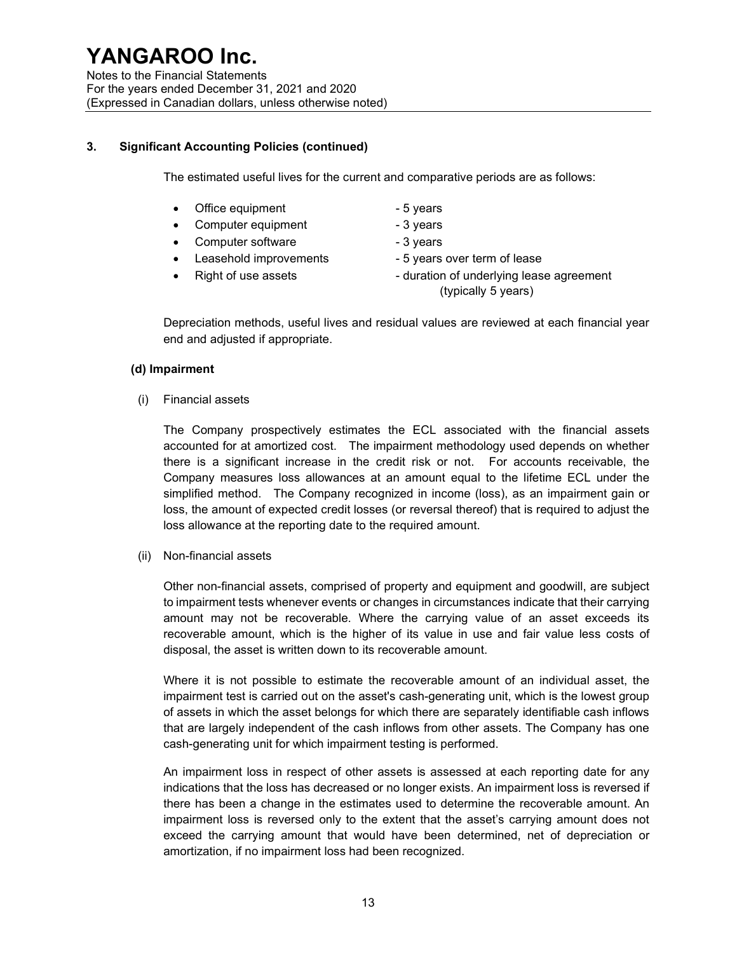Notes to the Financial Statements For the years ended December 31, 2021 and 2020 (Expressed in Canadian dollars, unless otherwise noted)

#### 3. Significant Accounting Policies (continued)

The estimated useful lives for the current and comparative periods are as follows:

- Office equipment The State of the State of State 3 years
- Computer equipment 3 years
- Computer software The School and School and School and School and School and School and School and School and S
- Leasehold improvements 5 years over term of lease
- 
- 
- 
- 
- 
- Right of use assets  **duration of underlying lease agreement** (typically 5 years)

Depreciation methods, useful lives and residual values are reviewed at each financial year end and adjusted if appropriate.

#### (d) Impairment

(i) Financial assets

The Company prospectively estimates the ECL associated with the financial assets accounted for at amortized cost. The impairment methodology used depends on whether there is a significant increase in the credit risk or not. For accounts receivable, the Company measures loss allowances at an amount equal to the lifetime ECL under the simplified method. The Company recognized in income (loss), as an impairment gain or loss, the amount of expected credit losses (or reversal thereof) that is required to adjust the loss allowance at the reporting date to the required amount.

(ii) Non-financial assets

Other non-financial assets, comprised of property and equipment and goodwill, are subject to impairment tests whenever events or changes in circumstances indicate that their carrying amount may not be recoverable. Where the carrying value of an asset exceeds its recoverable amount, which is the higher of its value in use and fair value less costs of disposal, the asset is written down to its recoverable amount.

Where it is not possible to estimate the recoverable amount of an individual asset, the impairment test is carried out on the asset's cash-generating unit, which is the lowest group of assets in which the asset belongs for which there are separately identifiable cash inflows that are largely independent of the cash inflows from other assets. The Company has one cash-generating unit for which impairment testing is performed.

An impairment loss in respect of other assets is assessed at each reporting date for any indications that the loss has decreased or no longer exists. An impairment loss is reversed if there has been a change in the estimates used to determine the recoverable amount. An impairment loss is reversed only to the extent that the asset's carrying amount does not exceed the carrying amount that would have been determined, net of depreciation or amortization, if no impairment loss had been recognized.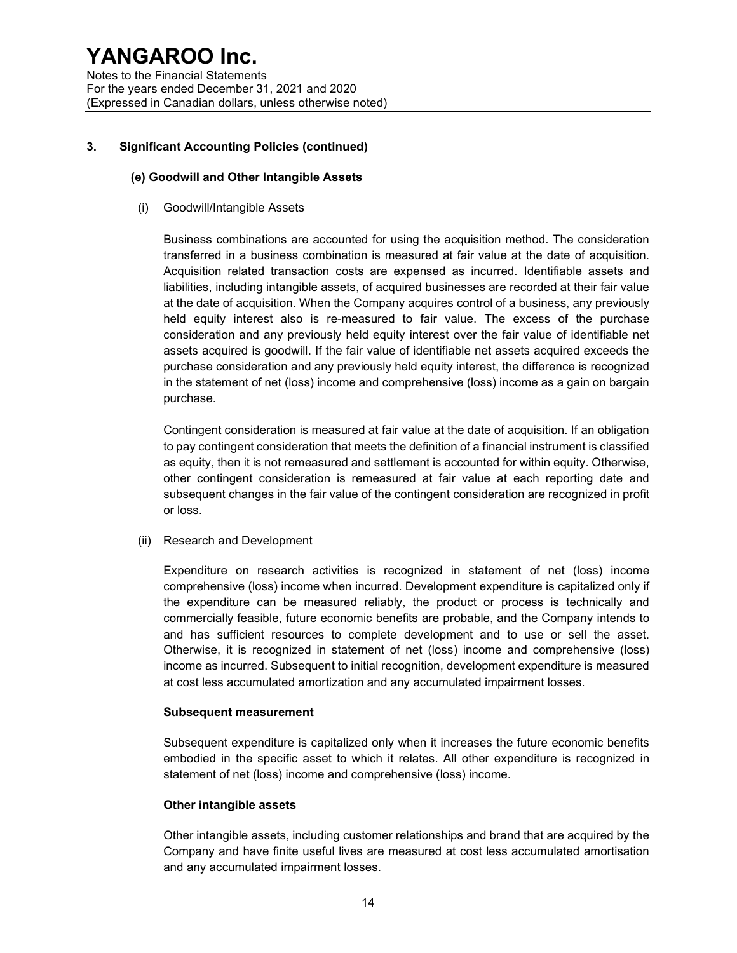Notes to the Financial Statements For the years ended December 31, 2021 and 2020 (Expressed in Canadian dollars, unless otherwise noted)

#### 3. Significant Accounting Policies (continued)

#### (e) Goodwill and Other Intangible Assets

(i) Goodwill/Intangible Assets

Business combinations are accounted for using the acquisition method. The consideration transferred in a business combination is measured at fair value at the date of acquisition. Acquisition related transaction costs are expensed as incurred. Identifiable assets and liabilities, including intangible assets, of acquired businesses are recorded at their fair value at the date of acquisition. When the Company acquires control of a business, any previously held equity interest also is re-measured to fair value. The excess of the purchase consideration and any previously held equity interest over the fair value of identifiable net assets acquired is goodwill. If the fair value of identifiable net assets acquired exceeds the purchase consideration and any previously held equity interest, the difference is recognized in the statement of net (loss) income and comprehensive (loss) income as a gain on bargain purchase.

Contingent consideration is measured at fair value at the date of acquisition. If an obligation to pay contingent consideration that meets the definition of a financial instrument is classified as equity, then it is not remeasured and settlement is accounted for within equity. Otherwise, other contingent consideration is remeasured at fair value at each reporting date and subsequent changes in the fair value of the contingent consideration are recognized in profit or loss.

(ii) Research and Development

Expenditure on research activities is recognized in statement of net (loss) income comprehensive (loss) income when incurred. Development expenditure is capitalized only if the expenditure can be measured reliably, the product or process is technically and commercially feasible, future economic benefits are probable, and the Company intends to and has sufficient resources to complete development and to use or sell the asset. Otherwise, it is recognized in statement of net (loss) income and comprehensive (loss) income as incurred. Subsequent to initial recognition, development expenditure is measured at cost less accumulated amortization and any accumulated impairment losses.

#### Subsequent measurement

Subsequent expenditure is capitalized only when it increases the future economic benefits embodied in the specific asset to which it relates. All other expenditure is recognized in statement of net (loss) income and comprehensive (loss) income.

#### Other intangible assets

Other intangible assets, including customer relationships and brand that are acquired by the Company and have finite useful lives are measured at cost less accumulated amortisation and any accumulated impairment losses.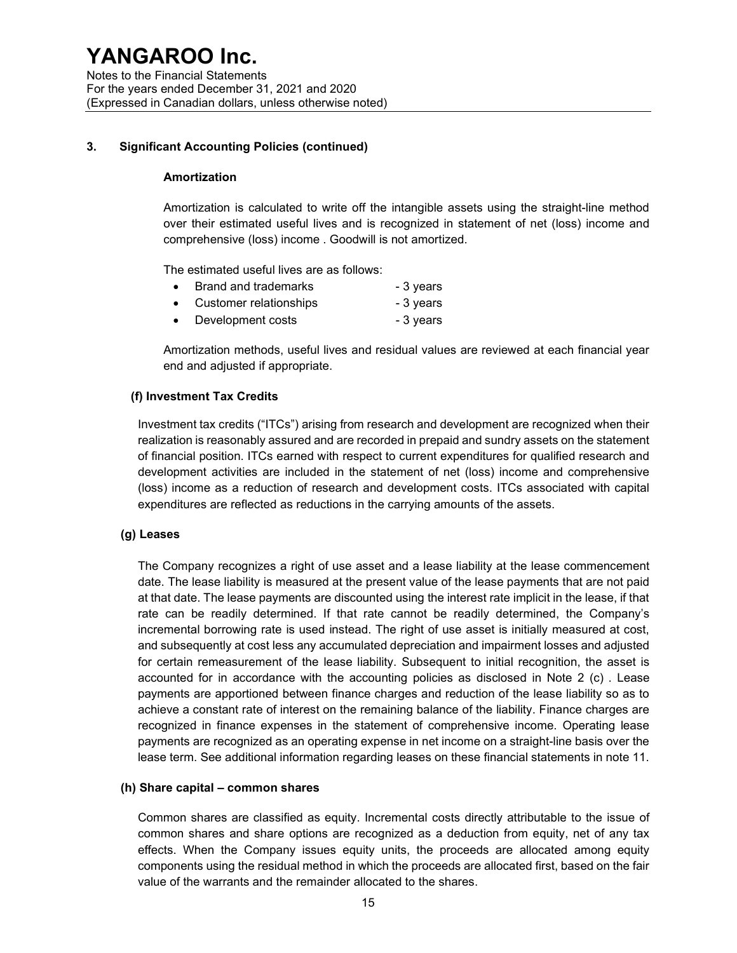#### 3. Significant Accounting Policies (continued)

#### Amortization

Amortization is calculated to write off the intangible assets using the straight-line method over their estimated useful lives and is recognized in statement of net (loss) income and comprehensive (loss) income . Goodwill is not amortized.

The estimated useful lives are as follows:

|  | Brand and trademarks | - 3 years |
|--|----------------------|-----------|
|--|----------------------|-----------|

- Customer relationships **can be a controlled as a controlled a** 3 years
- Development costs **compared 1** 3 years

Amortization methods, useful lives and residual values are reviewed at each financial year end and adjusted if appropriate.

#### (f) Investment Tax Credits

Investment tax credits ("ITCs") arising from research and development are recognized when their realization is reasonably assured and are recorded in prepaid and sundry assets on the statement of financial position. ITCs earned with respect to current expenditures for qualified research and development activities are included in the statement of net (loss) income and comprehensive (loss) income as a reduction of research and development costs. ITCs associated with capital expenditures are reflected as reductions in the carrying amounts of the assets.

#### (g) Leases

The Company recognizes a right of use asset and a lease liability at the lease commencement date. The lease liability is measured at the present value of the lease payments that are not paid at that date. The lease payments are discounted using the interest rate implicit in the lease, if that rate can be readily determined. If that rate cannot be readily determined, the Company's incremental borrowing rate is used instead. The right of use asset is initially measured at cost, and subsequently at cost less any accumulated depreciation and impairment losses and adjusted for certain remeasurement of the lease liability. Subsequent to initial recognition, the asset is accounted for in accordance with the accounting policies as disclosed in Note 2 (c) . Lease payments are apportioned between finance charges and reduction of the lease liability so as to achieve a constant rate of interest on the remaining balance of the liability. Finance charges are recognized in finance expenses in the statement of comprehensive income. Operating lease payments are recognized as an operating expense in net income on a straight-line basis over the lease term. See additional information regarding leases on these financial statements in note 11.

#### (h) Share capital – common shares

Common shares are classified as equity. Incremental costs directly attributable to the issue of common shares and share options are recognized as a deduction from equity, net of any tax effects. When the Company issues equity units, the proceeds are allocated among equity components using the residual method in which the proceeds are allocated first, based on the fair value of the warrants and the remainder allocated to the shares.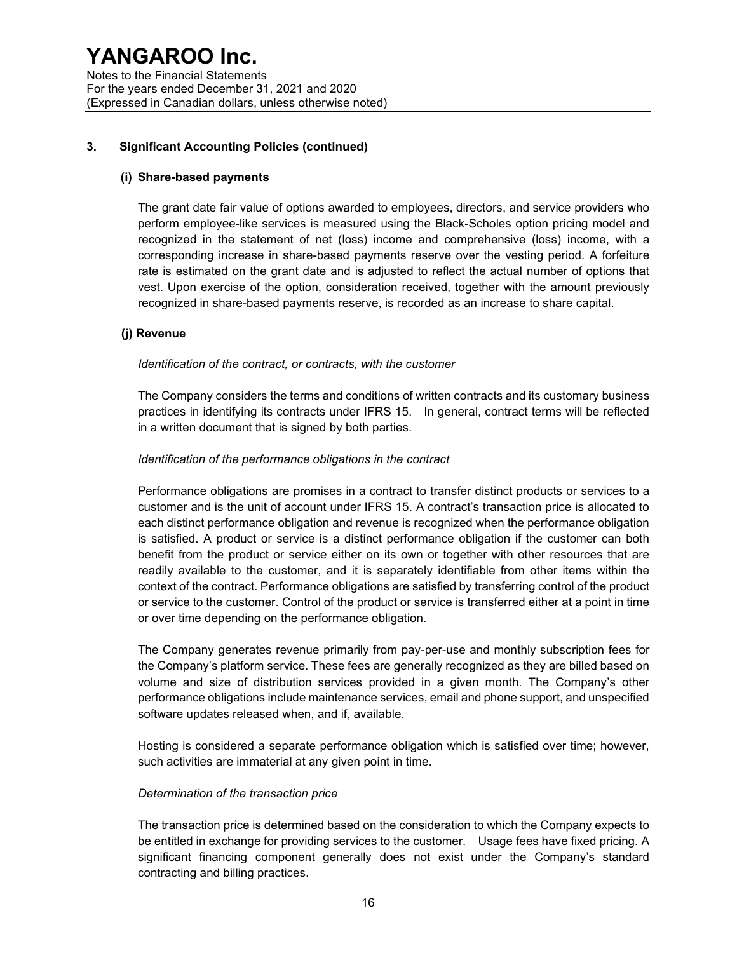#### 3. Significant Accounting Policies (continued)

#### (i) Share-based payments

The grant date fair value of options awarded to employees, directors, and service providers who perform employee-like services is measured using the Black-Scholes option pricing model and recognized in the statement of net (loss) income and comprehensive (loss) income, with a corresponding increase in share-based payments reserve over the vesting period. A forfeiture rate is estimated on the grant date and is adjusted to reflect the actual number of options that vest. Upon exercise of the option, consideration received, together with the amount previously recognized in share-based payments reserve, is recorded as an increase to share capital.

#### (j) Revenue

#### Identification of the contract, or contracts, with the customer

The Company considers the terms and conditions of written contracts and its customary business practices in identifying its contracts under IFRS 15. In general, contract terms will be reflected in a written document that is signed by both parties.

#### Identification of the performance obligations in the contract

Performance obligations are promises in a contract to transfer distinct products or services to a customer and is the unit of account under IFRS 15. A contract's transaction price is allocated to each distinct performance obligation and revenue is recognized when the performance obligation is satisfied. A product or service is a distinct performance obligation if the customer can both benefit from the product or service either on its own or together with other resources that are readily available to the customer, and it is separately identifiable from other items within the context of the contract. Performance obligations are satisfied by transferring control of the product or service to the customer. Control of the product or service is transferred either at a point in time or over time depending on the performance obligation.

The Company generates revenue primarily from pay-per-use and monthly subscription fees for the Company's platform service. These fees are generally recognized as they are billed based on volume and size of distribution services provided in a given month. The Company's other performance obligations include maintenance services, email and phone support, and unspecified software updates released when, and if, available.

Hosting is considered a separate performance obligation which is satisfied over time; however, such activities are immaterial at any given point in time.

#### Determination of the transaction price

The transaction price is determined based on the consideration to which the Company expects to be entitled in exchange for providing services to the customer. Usage fees have fixed pricing. A significant financing component generally does not exist under the Company's standard contracting and billing practices.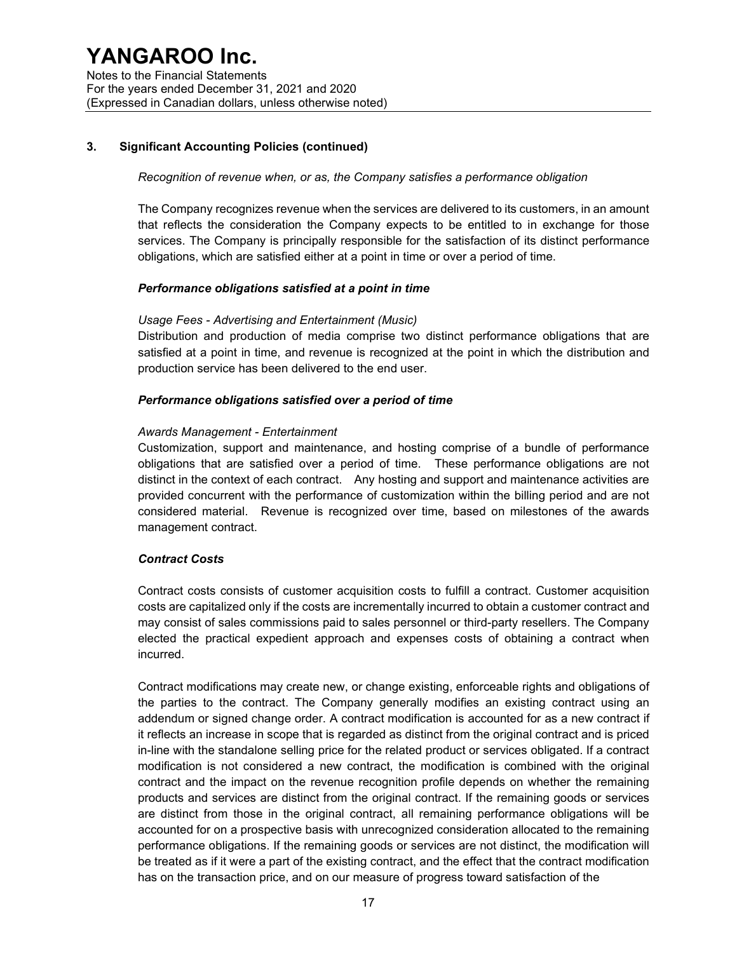#### 3. Significant Accounting Policies (continued)

#### Recognition of revenue when, or as, the Company satisfies a performance obligation

The Company recognizes revenue when the services are delivered to its customers, in an amount that reflects the consideration the Company expects to be entitled to in exchange for those services. The Company is principally responsible for the satisfaction of its distinct performance obligations, which are satisfied either at a point in time or over a period of time.

#### Performance obligations satisfied at a point in time

#### Usage Fees - Advertising and Entertainment (Music)

Distribution and production of media comprise two distinct performance obligations that are satisfied at a point in time, and revenue is recognized at the point in which the distribution and production service has been delivered to the end user.

#### Performance obligations satisfied over a period of time

#### Awards Management - Entertainment

Customization, support and maintenance, and hosting comprise of a bundle of performance obligations that are satisfied over a period of time. These performance obligations are not distinct in the context of each contract. Any hosting and support and maintenance activities are provided concurrent with the performance of customization within the billing period and are not considered material. Revenue is recognized over time, based on milestones of the awards management contract.

#### Contract Costs

Contract costs consists of customer acquisition costs to fulfill a contract. Customer acquisition costs are capitalized only if the costs are incrementally incurred to obtain a customer contract and may consist of sales commissions paid to sales personnel or third-party resellers. The Company elected the practical expedient approach and expenses costs of obtaining a contract when incurred.

Contract modifications may create new, or change existing, enforceable rights and obligations of the parties to the contract. The Company generally modifies an existing contract using an addendum or signed change order. A contract modification is accounted for as a new contract if it reflects an increase in scope that is regarded as distinct from the original contract and is priced in-line with the standalone selling price for the related product or services obligated. If a contract modification is not considered a new contract, the modification is combined with the original contract and the impact on the revenue recognition profile depends on whether the remaining products and services are distinct from the original contract. If the remaining goods or services are distinct from those in the original contract, all remaining performance obligations will be accounted for on a prospective basis with unrecognized consideration allocated to the remaining performance obligations. If the remaining goods or services are not distinct, the modification will be treated as if it were a part of the existing contract, and the effect that the contract modification has on the transaction price, and on our measure of progress toward satisfaction of the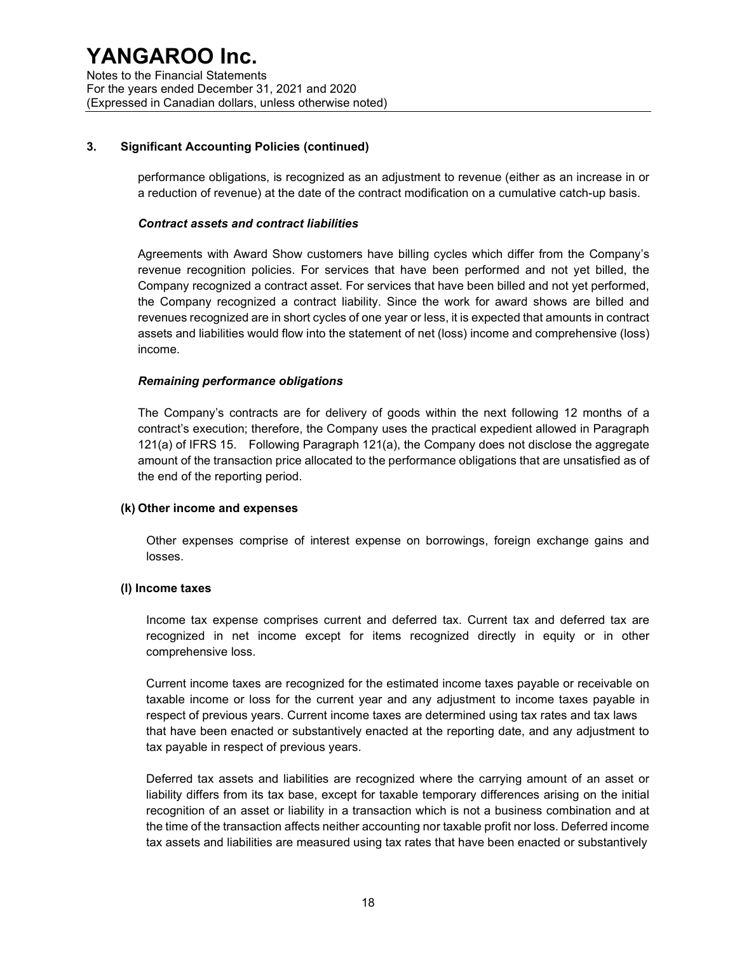#### 3. Significant Accounting Policies (continued)

performance obligations, is recognized as an adjustment to revenue (either as an increase in or a reduction of revenue) at the date of the contract modification on a cumulative catch-up basis.

#### Contract assets and contract liabilities

Agreements with Award Show customers have billing cycles which differ from the Company's revenue recognition policies. For services that have been performed and not yet billed, the Company recognized a contract asset. For services that have been billed and not yet performed, the Company recognized a contract liability. Since the work for award shows are billed and revenues recognized are in short cycles of one year or less, it is expected that amounts in contract assets and liabilities would flow into the statement of net (loss) income and comprehensive (loss) income.

#### Remaining performance obligations

The Company's contracts are for delivery of goods within the next following 12 months of a contract's execution; therefore, the Company uses the practical expedient allowed in Paragraph 121(a) of IFRS 15. Following Paragraph 121(a), the Company does not disclose the aggregate amount of the transaction price allocated to the performance obligations that are unsatisfied as of the end of the reporting period.

#### (k) Other income and expenses

Other expenses comprise of interest expense on borrowings, foreign exchange gains and losses.

#### (l) Income taxes

Income tax expense comprises current and deferred tax. Current tax and deferred tax are recognized in net income except for items recognized directly in equity or in other comprehensive loss.

Current income taxes are recognized for the estimated income taxes payable or receivable on taxable income or loss for the current year and any adjustment to income taxes payable in respect of previous years. Current income taxes are determined using tax rates and tax laws that have been enacted or substantively enacted at the reporting date, and any adjustment to tax payable in respect of previous years.

Deferred tax assets and liabilities are recognized where the carrying amount of an asset or liability differs from its tax base, except for taxable temporary differences arising on the initial recognition of an asset or liability in a transaction which is not a business combination and at the time of the transaction affects neither accounting nor taxable profit nor loss. Deferred income tax assets and liabilities are measured using tax rates that have been enacted or substantively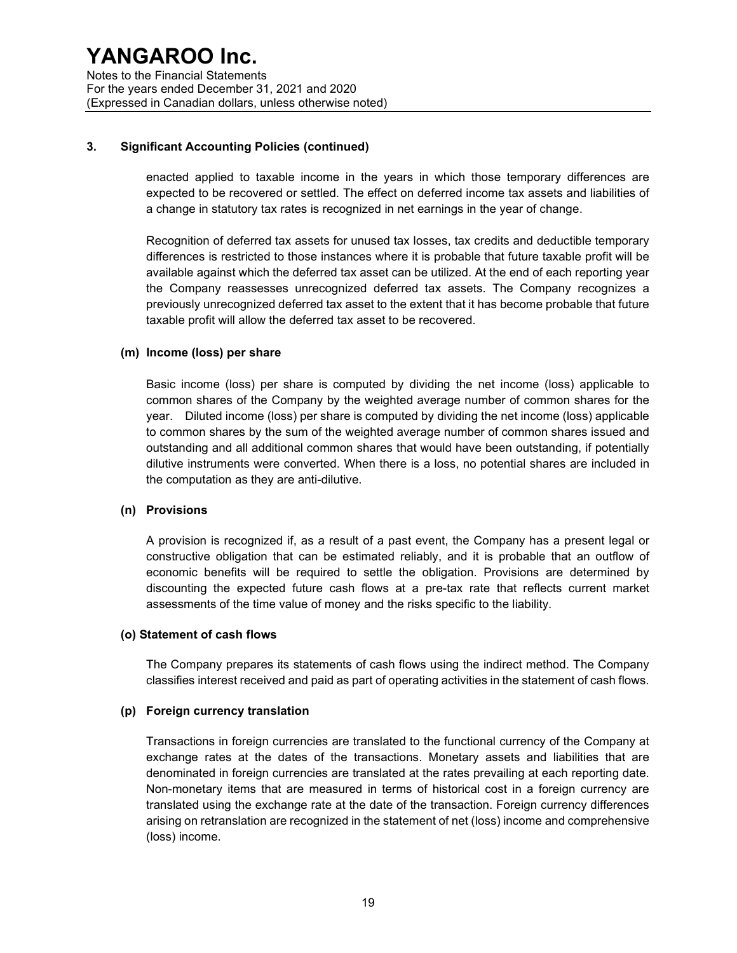#### 3. Significant Accounting Policies (continued)

enacted applied to taxable income in the years in which those temporary differences are expected to be recovered or settled. The effect on deferred income tax assets and liabilities of a change in statutory tax rates is recognized in net earnings in the year of change.

Recognition of deferred tax assets for unused tax losses, tax credits and deductible temporary differences is restricted to those instances where it is probable that future taxable profit will be available against which the deferred tax asset can be utilized. At the end of each reporting year the Company reassesses unrecognized deferred tax assets. The Company recognizes a previously unrecognized deferred tax asset to the extent that it has become probable that future taxable profit will allow the deferred tax asset to be recovered.

#### (m) Income (loss) per share

Basic income (loss) per share is computed by dividing the net income (loss) applicable to common shares of the Company by the weighted average number of common shares for the year. Diluted income (loss) per share is computed by dividing the net income (loss) applicable to common shares by the sum of the weighted average number of common shares issued and outstanding and all additional common shares that would have been outstanding, if potentially dilutive instruments were converted. When there is a loss, no potential shares are included in the computation as they are anti-dilutive.

#### (n) Provisions

A provision is recognized if, as a result of a past event, the Company has a present legal or constructive obligation that can be estimated reliably, and it is probable that an outflow of economic benefits will be required to settle the obligation. Provisions are determined by discounting the expected future cash flows at a pre-tax rate that reflects current market assessments of the time value of money and the risks specific to the liability.

#### (o) Statement of cash flows

The Company prepares its statements of cash flows using the indirect method. The Company classifies interest received and paid as part of operating activities in the statement of cash flows.

#### (p) Foreign currency translation

Transactions in foreign currencies are translated to the functional currency of the Company at exchange rates at the dates of the transactions. Monetary assets and liabilities that are denominated in foreign currencies are translated at the rates prevailing at each reporting date. Non-monetary items that are measured in terms of historical cost in a foreign currency are translated using the exchange rate at the date of the transaction. Foreign currency differences arising on retranslation are recognized in the statement of net (loss) income and comprehensive (loss) income.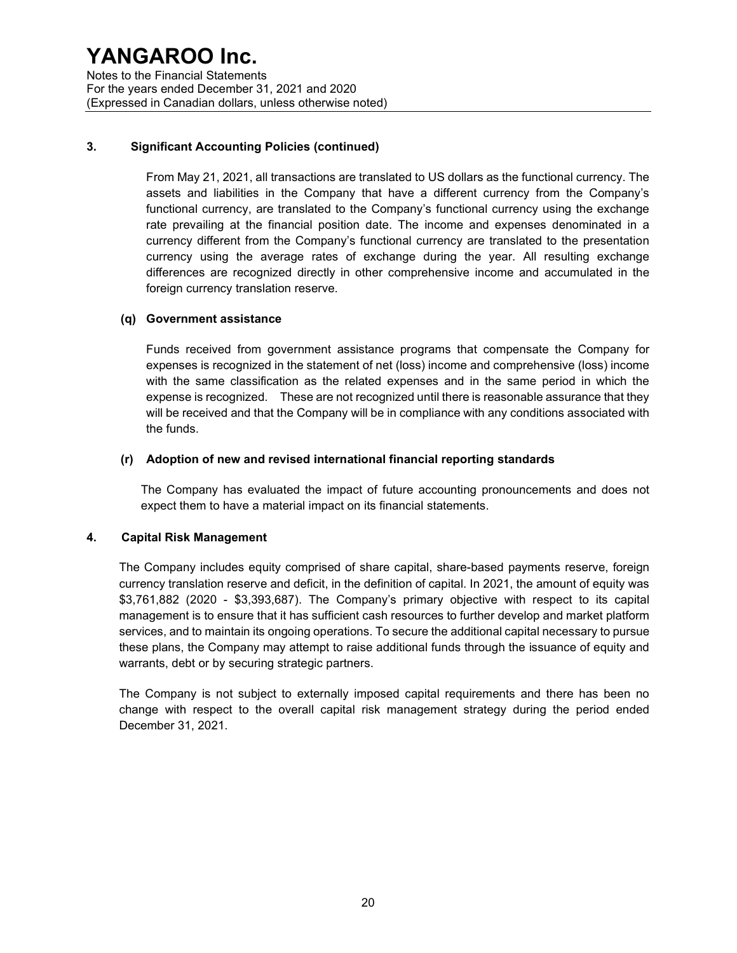### 3. Significant Accounting Policies (continued)

From May 21, 2021, all transactions are translated to US dollars as the functional currency. The assets and liabilities in the Company that have a different currency from the Company's functional currency, are translated to the Company's functional currency using the exchange rate prevailing at the financial position date. The income and expenses denominated in a currency different from the Company's functional currency are translated to the presentation currency using the average rates of exchange during the year. All resulting exchange differences are recognized directly in other comprehensive income and accumulated in the foreign currency translation reserve.

#### (q) Government assistance

Funds received from government assistance programs that compensate the Company for expenses is recognized in the statement of net (loss) income and comprehensive (loss) income with the same classification as the related expenses and in the same period in which the expense is recognized. These are not recognized until there is reasonable assurance that they will be received and that the Company will be in compliance with any conditions associated with the funds.

#### (r) Adoption of new and revised international financial reporting standards

The Company has evaluated the impact of future accounting pronouncements and does not expect them to have a material impact on its financial statements.

#### 4. Capital Risk Management

The Company includes equity comprised of share capital, share-based payments reserve, foreign currency translation reserve and deficit, in the definition of capital. In 2021, the amount of equity was \$3,761,882 (2020 - \$3,393,687). The Company's primary objective with respect to its capital management is to ensure that it has sufficient cash resources to further develop and market platform services, and to maintain its ongoing operations. To secure the additional capital necessary to pursue these plans, the Company may attempt to raise additional funds through the issuance of equity and warrants, debt or by securing strategic partners.

The Company is not subject to externally imposed capital requirements and there has been no change with respect to the overall capital risk management strategy during the period ended December 31, 2021.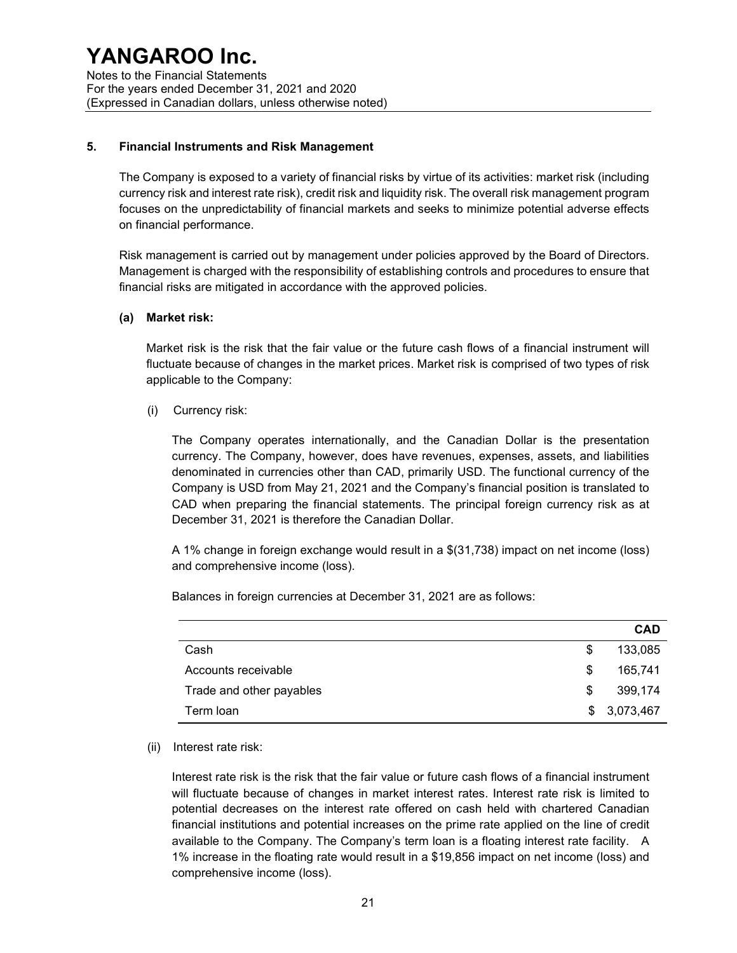Notes to the Financial Statements For the years ended December 31, 2021 and 2020 (Expressed in Canadian dollars, unless otherwise noted)

#### 5. Financial Instruments and Risk Management

The Company is exposed to a variety of financial risks by virtue of its activities: market risk (including currency risk and interest rate risk), credit risk and liquidity risk. The overall risk management program focuses on the unpredictability of financial markets and seeks to minimize potential adverse effects on financial performance.

Risk management is carried out by management under policies approved by the Board of Directors. Management is charged with the responsibility of establishing controls and procedures to ensure that financial risks are mitigated in accordance with the approved policies.

#### (a) Market risk:

 Market risk is the risk that the fair value or the future cash flows of a financial instrument will fluctuate because of changes in the market prices. Market risk is comprised of two types of risk applicable to the Company:

(i) Currency risk:

The Company operates internationally, and the Canadian Dollar is the presentation currency. The Company, however, does have revenues, expenses, assets, and liabilities denominated in currencies other than CAD, primarily USD. The functional currency of the Company is USD from May 21, 2021 and the Company's financial position is translated to CAD when preparing the financial statements. The principal foreign currency risk as at December 31, 2021 is therefore the Canadian Dollar.

A 1% change in foreign exchange would result in a \$(31,738) impact on net income (loss) and comprehensive income (loss).

CAD Cash \$ 133,085 Accounts receivable **business and the Countries of the Countries of the Countries of the Countries of the Countries of the Countries of the Countries of the Countries of the Countries of the Countries of the Countries of t** Trade and other payables **being a set of the set of the set of the set of the set of the set of the set of the set of the set of the set of the set of the set of the set of the set of the set of the set of the set of the s** Term loan  $$ 3,073,467$ 

Balances in foreign currencies at December 31, 2021 are as follows:

#### (ii) Interest rate risk:

Interest rate risk is the risk that the fair value or future cash flows of a financial instrument will fluctuate because of changes in market interest rates. Interest rate risk is limited to potential decreases on the interest rate offered on cash held with chartered Canadian financial institutions and potential increases on the prime rate applied on the line of credit available to the Company. The Company's term loan is a floating interest rate facility. A 1% increase in the floating rate would result in a \$19,856 impact on net income (loss) and comprehensive income (loss).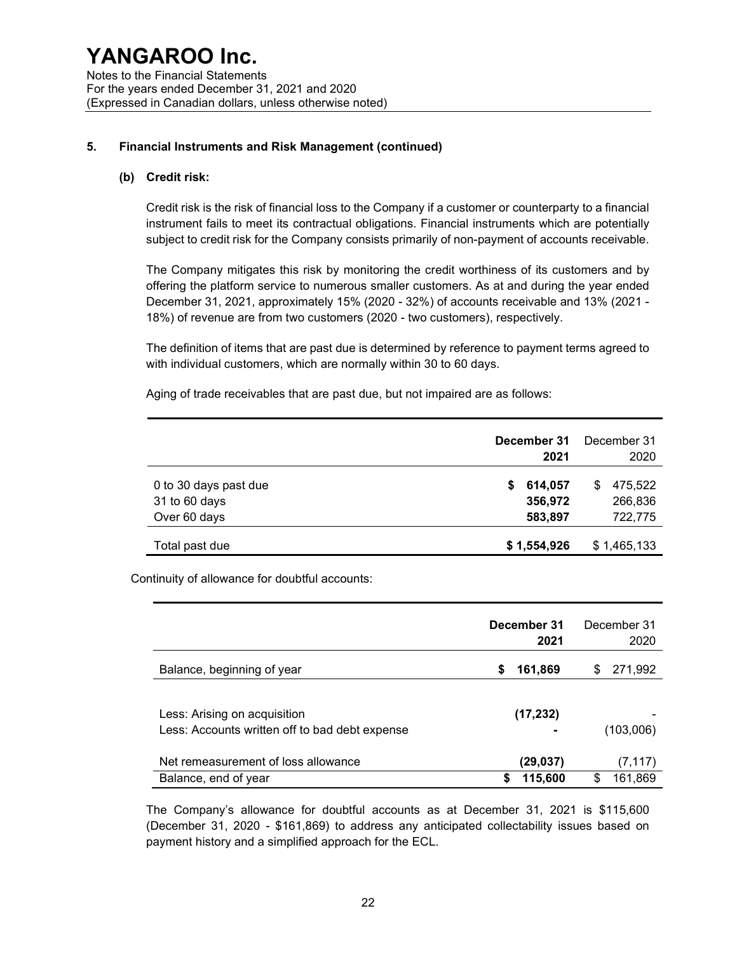### 5. Financial Instruments and Risk Management (continued)

#### (b) Credit risk:

Credit risk is the risk of financial loss to the Company if a customer or counterparty to a financial instrument fails to meet its contractual obligations. Financial instruments which are potentially subject to credit risk for the Company consists primarily of non-payment of accounts receivable.

The Company mitigates this risk by monitoring the credit worthiness of its customers and by offering the platform service to numerous smaller customers. As at and during the year ended December 31, 2021, approximately 15% (2020 - 32%) of accounts receivable and 13% (2021 - 18%) of revenue are from two customers (2020 - two customers), respectively.

The definition of items that are past due is determined by reference to payment terms agreed to with individual customers, which are normally within 30 to 60 days.

Aging of trade receivables that are past due, but not impaired are as follows:

|                                                        | December 31<br>2021                | December 31<br>2020                 |
|--------------------------------------------------------|------------------------------------|-------------------------------------|
| 0 to 30 days past due<br>31 to 60 days<br>Over 60 days | 614,057<br>S<br>356,972<br>583,897 | 475,522<br>\$<br>266,836<br>722,775 |
| Total past due                                         | \$1,554,926                        | \$1,465,133                         |

Continuity of allowance for doubtful accounts:

|                                                | December 31<br>2021 | December 31<br>2020 |
|------------------------------------------------|---------------------|---------------------|
| Balance, beginning of year                     | 161,869<br>\$       | 271,992<br>S        |
|                                                |                     |                     |
| Less: Arising on acquisition                   | (17, 232)           |                     |
| Less: Accounts written off to bad debt expense |                     | (103,006)           |
| Net remeasurement of loss allowance            | (29,037)            | (7, 117)            |
| Balance, end of year                           | \$<br>115,600       | 161,869<br>S        |

The Company's allowance for doubtful accounts as at December 31, 2021 is \$115,600 (December 31, 2020 - \$161,869) to address any anticipated collectability issues based on payment history and a simplified approach for the ECL.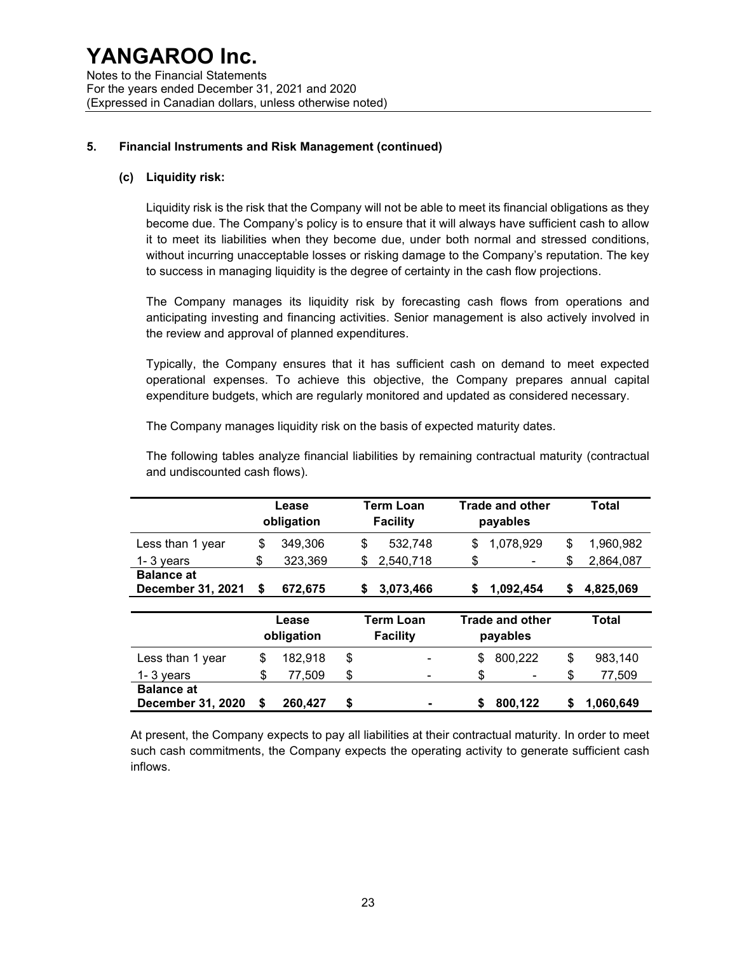### 5. Financial Instruments and Risk Management (continued)

#### (c) Liquidity risk:

Liquidity risk is the risk that the Company will not be able to meet its financial obligations as they become due. The Company's policy is to ensure that it will always have sufficient cash to allow it to meet its liabilities when they become due, under both normal and stressed conditions, without incurring unacceptable losses or risking damage to the Company's reputation. The key to success in managing liquidity is the degree of certainty in the cash flow projections.

The Company manages its liquidity risk by forecasting cash flows from operations and anticipating investing and financing activities. Senior management is also actively involved in the review and approval of planned expenditures.

Typically, the Company ensures that it has sufficient cash on demand to meet expected operational expenses. To achieve this objective, the Company prepares annual capital expenditure budgets, which are regularly monitored and updated as considered necessary.

The Company manages liquidity risk on the basis of expected maturity dates.

The following tables analyze financial liabilities by remaining contractual maturity (contractual and undiscounted cash flows).

|                                               |                     | Lease<br>obligation | Term Loan<br><b>Facility</b>        |           | <b>Trade and other</b><br>payables |           |    | Total     |
|-----------------------------------------------|---------------------|---------------------|-------------------------------------|-----------|------------------------------------|-----------|----|-----------|
| Less than 1 year                              | \$                  | 349,306             | \$                                  | 532,748   | \$                                 | 1,078,929 | \$ | 1,960,982 |
| 1-3 vears                                     | \$                  | 323,369             | \$                                  | 2,540,718 | \$                                 |           | \$ | 2,864,087 |
| <b>Balance at</b><br><b>December 31, 2021</b> | S                   | 672,675             | S                                   | 3,073,466 | S                                  | 1,092,454 | \$ | 4,825,069 |
|                                               | Lease<br>obligation |                     | <b>Term Loan</b><br><b>Facility</b> |           | <b>Trade and other</b><br>payables |           |    | Total     |
| Less than 1 year                              | \$                  | 182,918             | \$                                  |           | \$                                 | 800,222   | \$ | 983,140   |
| $1 - 3$ years                                 | \$                  | 77,509              | \$                                  |           | \$                                 |           | \$ | 77,509    |
| <b>Balance at</b><br><b>December 31, 2020</b> | S                   | 260,427             | \$                                  |           | \$                                 | 800.122   | S  | 1,060,649 |

At present, the Company expects to pay all liabilities at their contractual maturity. In order to meet such cash commitments, the Company expects the operating activity to generate sufficient cash inflows.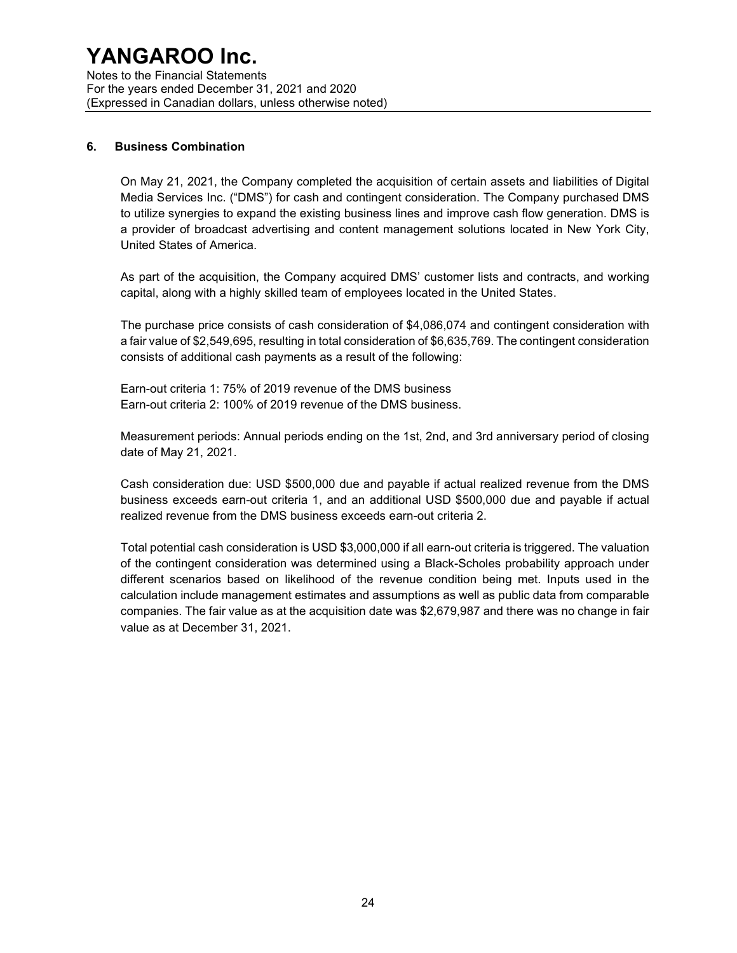Notes to the Financial Statements For the years ended December 31, 2021 and 2020 (Expressed in Canadian dollars, unless otherwise noted)

#### 6. Business Combination

On May 21, 2021, the Company completed the acquisition of certain assets and liabilities of Digital Media Services Inc. ("DMS") for cash and contingent consideration. The Company purchased DMS to utilize synergies to expand the existing business lines and improve cash flow generation. DMS is a provider of broadcast advertising and content management solutions located in New York City, United States of America.

As part of the acquisition, the Company acquired DMS' customer lists and contracts, and working capital, along with a highly skilled team of employees located in the United States.

The purchase price consists of cash consideration of \$4,086,074 and contingent consideration with a fair value of \$2,549,695, resulting in total consideration of \$6,635,769. The contingent consideration consists of additional cash payments as a result of the following:

Earn-out criteria 1: 75% of 2019 revenue of the DMS business Earn-out criteria 2: 100% of 2019 revenue of the DMS business.

Measurement periods: Annual periods ending on the 1st, 2nd, and 3rd anniversary period of closing date of May 21, 2021.

Cash consideration due: USD \$500,000 due and payable if actual realized revenue from the DMS business exceeds earn-out criteria 1, and an additional USD \$500,000 due and payable if actual realized revenue from the DMS business exceeds earn-out criteria 2.

Total potential cash consideration is USD \$3,000,000 if all earn-out criteria is triggered. The valuation of the contingent consideration was determined using a Black-Scholes probability approach under different scenarios based on likelihood of the revenue condition being met. Inputs used in the calculation include management estimates and assumptions as well as public data from comparable companies. The fair value as at the acquisition date was \$2,679,987 and there was no change in fair value as at December 31, 2021.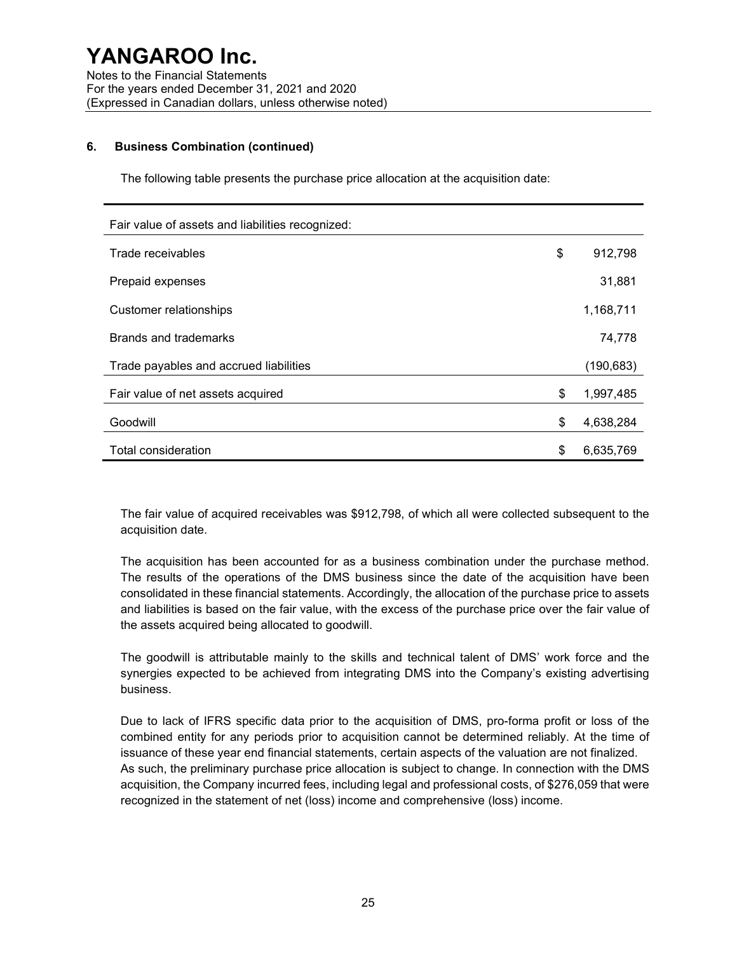#### 6. Business Combination (continued)

The following table presents the purchase price allocation at the acquisition date:

| Fair value of assets and liabilities recognized: |                 |
|--------------------------------------------------|-----------------|
| Trade receivables                                | \$<br>912,798   |
| Prepaid expenses                                 | 31,881          |
| Customer relationships                           | 1,168,711       |
| Brands and trademarks                            | 74,778          |
| Trade payables and accrued liabilities           | (190, 683)      |
| Fair value of net assets acquired                | \$<br>1,997,485 |
| Goodwill                                         | \$<br>4,638,284 |
| Total consideration                              | \$<br>6,635,769 |

The fair value of acquired receivables was \$912,798, of which all were collected subsequent to the acquisition date.

The acquisition has been accounted for as a business combination under the purchase method. The results of the operations of the DMS business since the date of the acquisition have been consolidated in these financial statements. Accordingly, the allocation of the purchase price to assets and liabilities is based on the fair value, with the excess of the purchase price over the fair value of the assets acquired being allocated to goodwill.

The goodwill is attributable mainly to the skills and technical talent of DMS' work force and the synergies expected to be achieved from integrating DMS into the Company's existing advertising business.

Due to lack of IFRS specific data prior to the acquisition of DMS, pro-forma profit or loss of the combined entity for any periods prior to acquisition cannot be determined reliably. At the time of issuance of these year end financial statements, certain aspects of the valuation are not finalized. As such, the preliminary purchase price allocation is subject to change. In connection with the DMS acquisition, the Company incurred fees, including legal and professional costs, of \$276,059 that were recognized in the statement of net (loss) income and comprehensive (loss) income.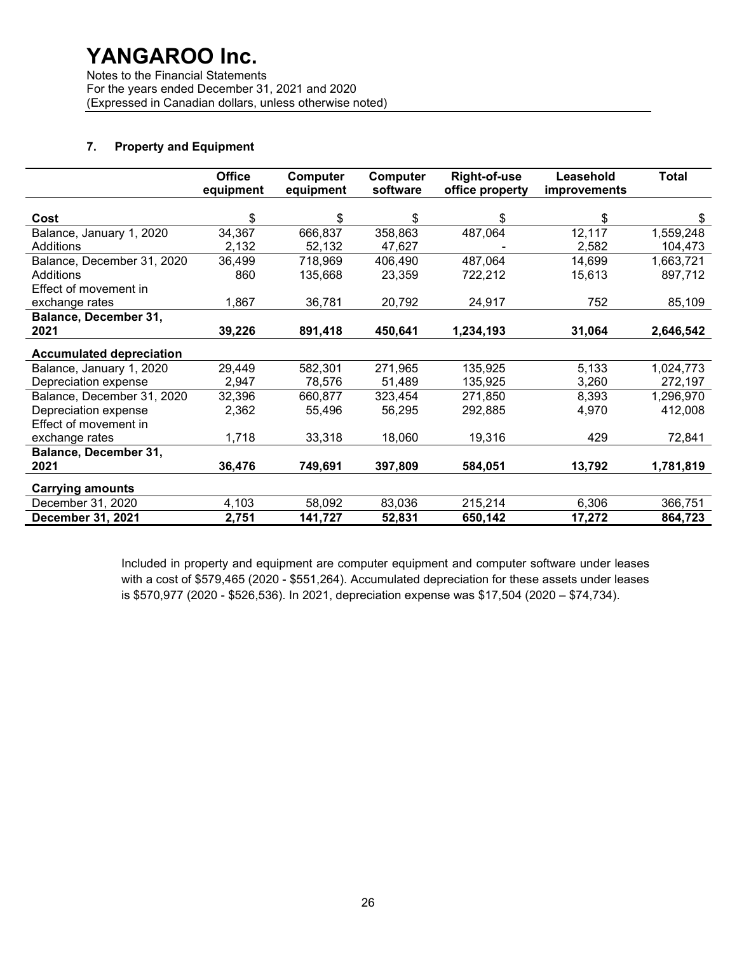Notes to the Financial Statements For the years ended December 31, 2021 and 2020 (Expressed in Canadian dollars, unless otherwise noted)

### 7. Property and Equipment

|                                 | <b>Office</b><br>equipment | Computer<br>equipment | Computer<br>software | <b>Right-of-use</b><br>office property | Leasehold<br><i>improvements</i> | <b>Total</b> |
|---------------------------------|----------------------------|-----------------------|----------------------|----------------------------------------|----------------------------------|--------------|
|                                 |                            |                       |                      |                                        |                                  |              |
| Cost                            | \$                         | \$                    | \$                   | \$                                     | \$                               | S            |
| Balance, January 1, 2020        | 34,367                     | 666,837               | 358,863              | 487,064                                | 12,117                           | 1,559,248    |
| Additions                       | 2,132                      | 52,132                | 47,627               |                                        | 2,582                            | 104,473      |
| Balance, December 31, 2020      | 36,499                     | 718,969               | 406,490              | 487,064                                | 14,699                           | 1,663,721    |
| <b>Additions</b>                | 860                        | 135,668               | 23,359               | 722,212                                | 15,613                           | 897,712      |
| Effect of movement in           |                            |                       |                      |                                        |                                  |              |
| exchange rates                  | 1,867                      | 36,781                | 20,792               | 24,917                                 | 752                              | 85,109       |
| <b>Balance, December 31,</b>    |                            |                       |                      |                                        |                                  |              |
| 2021                            | 39,226                     | 891,418               | 450,641              | 1,234,193                              | 31,064                           | 2,646,542    |
| <b>Accumulated depreciation</b> |                            |                       |                      |                                        |                                  |              |
| Balance, January 1, 2020        | 29,449                     | 582,301               | 271,965              | 135,925                                | 5,133                            | 1,024,773    |
| Depreciation expense            | 2,947                      | 78,576                | 51,489               | 135,925                                | 3,260                            | 272,197      |
| Balance, December 31, 2020      | 32,396                     | 660,877               | 323,454              | 271,850                                | 8,393                            | 1,296,970    |
| Depreciation expense            | 2,362                      | 55,496                | 56,295               | 292,885                                | 4,970                            | 412,008      |
| Effect of movement in           |                            |                       |                      |                                        |                                  |              |
| exchange rates                  | 1,718                      | 33,318                | 18,060               | 19,316                                 | 429                              | 72,841       |
| Balance, December 31,           |                            |                       |                      |                                        |                                  |              |
| 2021                            | 36,476                     | 749,691               | 397,809              | 584,051                                | 13,792                           | 1,781,819    |
| <b>Carrying amounts</b>         |                            |                       |                      |                                        |                                  |              |
| December 31, 2020               | 4,103                      | 58,092                | 83,036               | 215,214                                | 6,306                            | 366,751      |
| December 31, 2021               | 2,751                      | 141,727               | 52,831               | 650,142                                | 17,272                           | 864,723      |

Included in property and equipment are computer equipment and computer software under leases with a cost of \$579,465 (2020 - \$551,264). Accumulated depreciation for these assets under leases is \$570,977 (2020 - \$526,536). In 2021, depreciation expense was \$17,504 (2020 – \$74,734).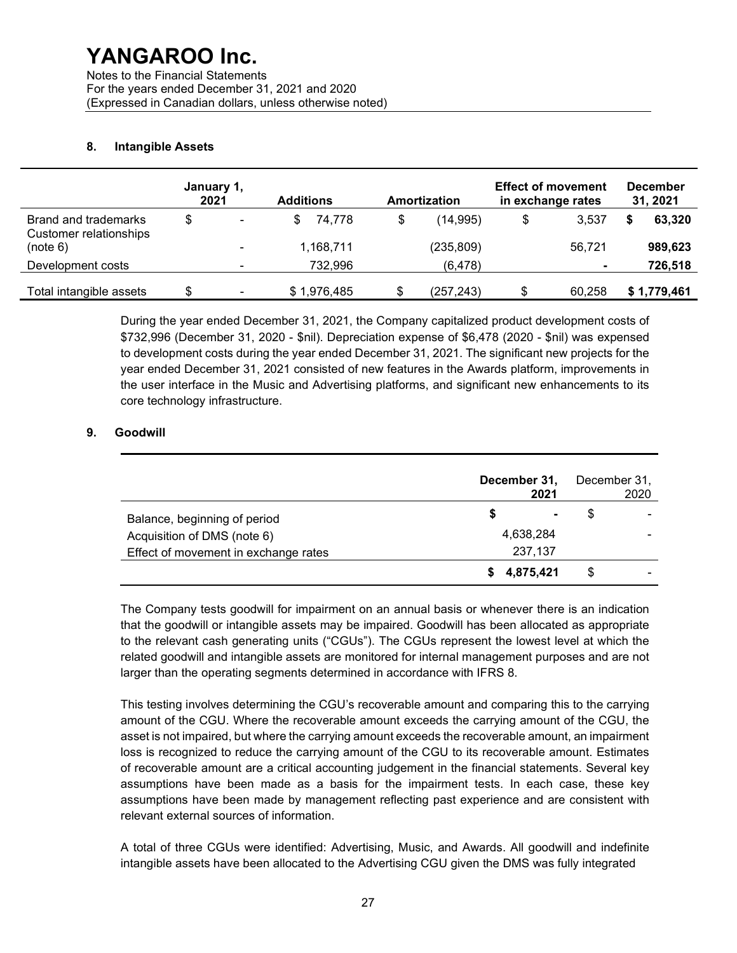Notes to the Financial Statements For the years ended December 31, 2021 and 2020 (Expressed in Canadian dollars, unless otherwise noted)

#### 8. Intangible Assets

| January 1,<br>2021                                    |    |                          | <b>Additions</b><br>Amortization |             |    | <b>Effect of movement</b><br>in exchange rates | <b>December</b><br>31, 2021 |                |  |             |
|-------------------------------------------------------|----|--------------------------|----------------------------------|-------------|----|------------------------------------------------|-----------------------------|----------------|--|-------------|
| Brand and trademarks<br><b>Customer relationships</b> | \$ | $\blacksquare$           | S                                | 74.778      | \$ | (14, 995)                                      | \$                          | 3.537          |  | 63,320      |
| (note 6)                                              |    | ۰                        |                                  | 1,168,711   |    | (235, 809)                                     |                             | 56.721         |  | 989,623     |
| Development costs                                     |    | ۰                        |                                  | 732,996     |    | (6, 478)                                       |                             | $\blacksquare$ |  | 726,518     |
| Total intangible assets                               | \$ | $\overline{\phantom{a}}$ |                                  | \$1,976,485 | S  | (257,243)                                      |                             | 60.258         |  | \$1,779,461 |

During the year ended December 31, 2021, the Company capitalized product development costs of \$732,996 (December 31, 2020 - \$nil). Depreciation expense of \$6,478 (2020 - \$nil) was expensed to development costs during the year ended December 31, 2021. The significant new projects for the year ended December 31, 2021 consisted of new features in the Awards platform, improvements in the user interface in the Music and Advertising platforms, and significant new enhancements to its core technology infrastructure.

### 9. Goodwill

|                                      | December 31,<br>2021 |                |   | December 31,<br>2020 |
|--------------------------------------|----------------------|----------------|---|----------------------|
| Balance, beginning of period         | S                    | $\blacksquare$ | S |                      |
| Acquisition of DMS (note 6)          | 4,638,284            |                |   |                      |
| Effect of movement in exchange rates | 237,137              |                |   |                      |
|                                      | 4,875,421            |                |   |                      |

The Company tests goodwill for impairment on an annual basis or whenever there is an indication that the goodwill or intangible assets may be impaired. Goodwill has been allocated as appropriate to the relevant cash generating units ("CGUs"). The CGUs represent the lowest level at which the related goodwill and intangible assets are monitored for internal management purposes and are not larger than the operating segments determined in accordance with IFRS 8.

This testing involves determining the CGU's recoverable amount and comparing this to the carrying amount of the CGU. Where the recoverable amount exceeds the carrying amount of the CGU, the asset is not impaired, but where the carrying amount exceeds the recoverable amount, an impairment loss is recognized to reduce the carrying amount of the CGU to its recoverable amount. Estimates of recoverable amount are a critical accounting judgement in the financial statements. Several key assumptions have been made as a basis for the impairment tests. In each case, these key assumptions have been made by management reflecting past experience and are consistent with relevant external sources of information.

A total of three CGUs were identified: Advertising, Music, and Awards. All goodwill and indefinite intangible assets have been allocated to the Advertising CGU given the DMS was fully integrated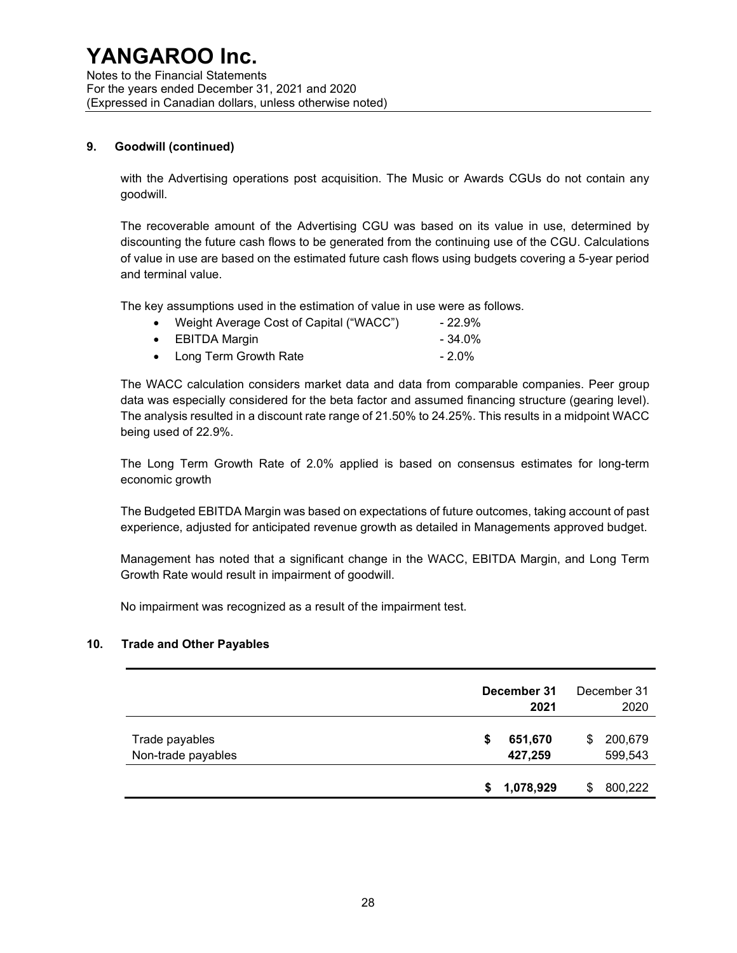Notes to the Financial Statements For the years ended December 31, 2021 and 2020 (Expressed in Canadian dollars, unless otherwise noted)

#### 9. Goodwill (continued)

with the Advertising operations post acquisition. The Music or Awards CGUs do not contain any goodwill.

The recoverable amount of the Advertising CGU was based on its value in use, determined by discounting the future cash flows to be generated from the continuing use of the CGU. Calculations of value in use are based on the estimated future cash flows using budgets covering a 5-year period and terminal value.

The key assumptions used in the estimation of value in use were as follows.

| $\bullet$ | Weight Average Cost of Capital ("WACC") | - 22.9%   |
|-----------|-----------------------------------------|-----------|
|           | $\bullet$ EBITDA Margin                 | $-34.0\%$ |
|           | • Long Term Growth Rate                 | $-2.0\%$  |

The WACC calculation considers market data and data from comparable companies. Peer group data was especially considered for the beta factor and assumed financing structure (gearing level). The analysis resulted in a discount rate range of 21.50% to 24.25%. This results in a midpoint WACC being used of 22.9%.

The Long Term Growth Rate of 2.0% applied is based on consensus estimates for long-term economic growth

The Budgeted EBITDA Margin was based on expectations of future outcomes, taking account of past experience, adjusted for anticipated revenue growth as detailed in Managements approved budget.

Management has noted that a significant change in the WACC, EBITDA Margin, and Long Term Growth Rate would result in impairment of goodwill.

No impairment was recognized as a result of the impairment test.

#### 10. Trade and Other Payables

|                                      |    | December 31<br>2021 | December 31<br>2020 |                    |
|--------------------------------------|----|---------------------|---------------------|--------------------|
| Trade payables<br>Non-trade payables | \$ | 651,670<br>427,259  | \$                  | 200,679<br>599,543 |
|                                      | S  | 1,078,929           | S                   | 800,222            |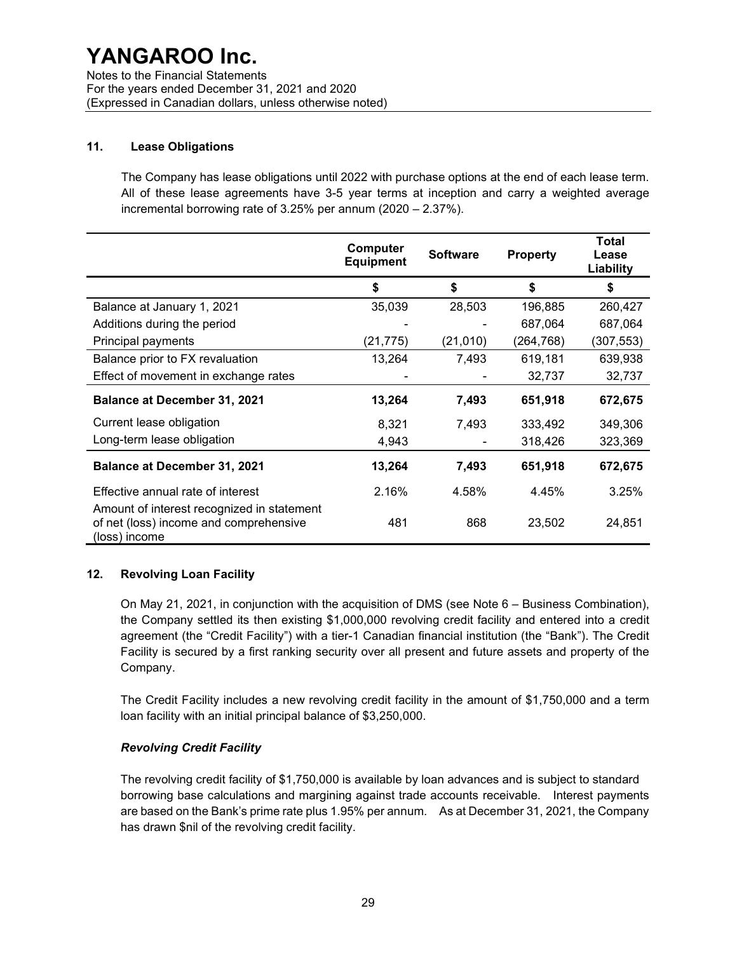Notes to the Financial Statements For the years ended December 31, 2021 and 2020 (Expressed in Canadian dollars, unless otherwise noted)

#### 11. Lease Obligations

The Company has lease obligations until 2022 with purchase options at the end of each lease term. All of these lease agreements have 3-5 year terms at inception and carry a weighted average incremental borrowing rate of 3.25% per annum (2020 – 2.37%).

|                                                                                                       | Computer<br><b>Equipment</b> | <b>Software</b> | <b>Property</b> | <b>Total</b><br>Lease<br>Liability |
|-------------------------------------------------------------------------------------------------------|------------------------------|-----------------|-----------------|------------------------------------|
|                                                                                                       | \$                           | \$              | \$              | \$                                 |
| Balance at January 1, 2021                                                                            | 35,039                       | 28,503          | 196,885         | 260,427                            |
| Additions during the period                                                                           |                              |                 | 687,064         | 687,064                            |
| Principal payments                                                                                    | (21, 775)                    | (21, 010)       | (264, 768)      | (307, 553)                         |
| Balance prior to FX revaluation                                                                       | 13,264                       | 7,493           | 619,181         | 639,938                            |
| Effect of movement in exchange rates                                                                  |                              |                 | 32,737          | 32,737                             |
| <b>Balance at December 31, 2021</b>                                                                   | 13,264                       | 7,493           | 651,918         | 672,675                            |
| Current lease obligation                                                                              | 8,321                        | 7,493           | 333,492         | 349,306                            |
| Long-term lease obligation                                                                            | 4,943                        |                 | 318,426         | 323,369                            |
| <b>Balance at December 31, 2021</b>                                                                   | 13,264                       | 7,493           | 651,918         | 672,675                            |
| Effective annual rate of interest                                                                     | 2.16%                        | 4.58%           | 4.45%           | 3.25%                              |
| Amount of interest recognized in statement<br>of net (loss) income and comprehensive<br>(loss) income | 481                          | 868             | 23,502          | 24,851                             |

#### 12. Revolving Loan Facility

On May 21, 2021, in conjunction with the acquisition of DMS (see Note 6 – Business Combination), the Company settled its then existing \$1,000,000 revolving credit facility and entered into a credit agreement (the "Credit Facility") with a tier-1 Canadian financial institution (the "Bank"). The Credit Facility is secured by a first ranking security over all present and future assets and property of the Company.

The Credit Facility includes a new revolving credit facility in the amount of \$1,750,000 and a term loan facility with an initial principal balance of \$3,250,000.

### Revolving Credit Facility

The revolving credit facility of \$1,750,000 is available by loan advances and is subject to standard borrowing base calculations and margining against trade accounts receivable. Interest payments are based on the Bank's prime rate plus 1.95% per annum. As at December 31, 2021, the Company has drawn \$nil of the revolving credit facility.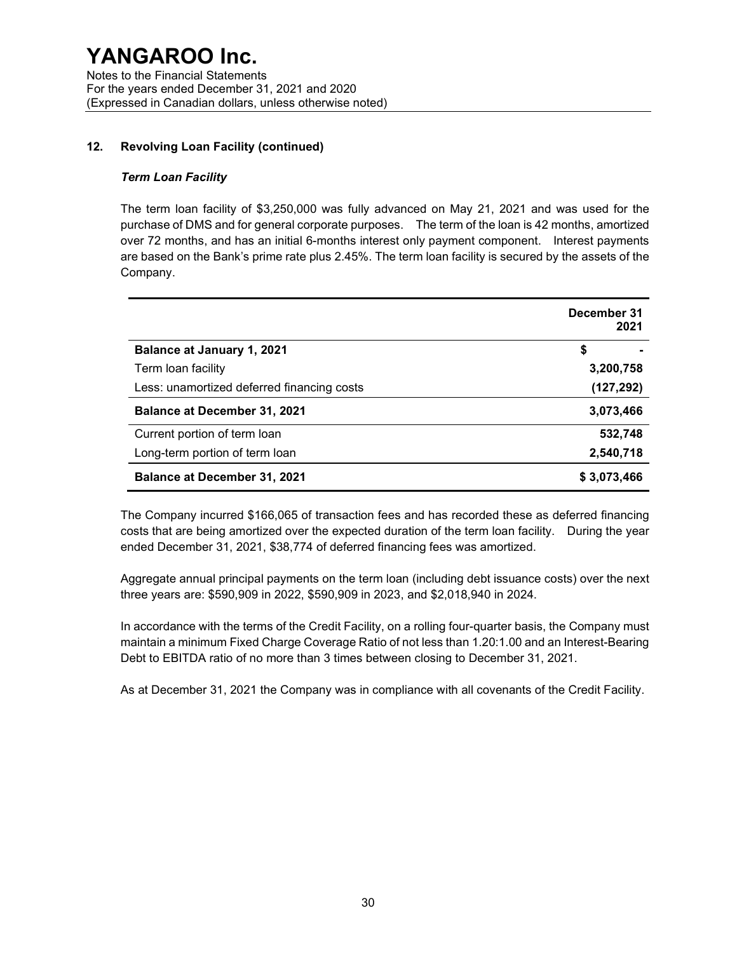### 12. Revolving Loan Facility (continued)

#### Term Loan Facility

The term loan facility of \$3,250,000 was fully advanced on May 21, 2021 and was used for the purchase of DMS and for general corporate purposes. The term of the loan is 42 months, amortized over 72 months, and has an initial 6-months interest only payment component. Interest payments are based on the Bank's prime rate plus 2.45%. The term loan facility is secured by the assets of the Company.

|                                            | December 31<br>2021 |  |  |
|--------------------------------------------|---------------------|--|--|
| <b>Balance at January 1, 2021</b>          | \$                  |  |  |
| Term loan facility                         | 3,200,758           |  |  |
| Less: unamortized deferred financing costs | (127, 292)          |  |  |
| <b>Balance at December 31, 2021</b>        | 3,073,466           |  |  |
| Current portion of term loan               | 532,748             |  |  |
| Long-term portion of term loan             | 2,540,718           |  |  |
| <b>Balance at December 31, 2021</b>        | \$3,073,466         |  |  |

The Company incurred \$166,065 of transaction fees and has recorded these as deferred financing costs that are being amortized over the expected duration of the term loan facility. During the year ended December 31, 2021, \$38,774 of deferred financing fees was amortized.

Aggregate annual principal payments on the term loan (including debt issuance costs) over the next three years are: \$590,909 in 2022, \$590,909 in 2023, and \$2,018,940 in 2024.

In accordance with the terms of the Credit Facility, on a rolling four-quarter basis, the Company must maintain a minimum Fixed Charge Coverage Ratio of not less than 1.20:1.00 and an Interest-Bearing Debt to EBITDA ratio of no more than 3 times between closing to December 31, 2021.

As at December 31, 2021 the Company was in compliance with all covenants of the Credit Facility.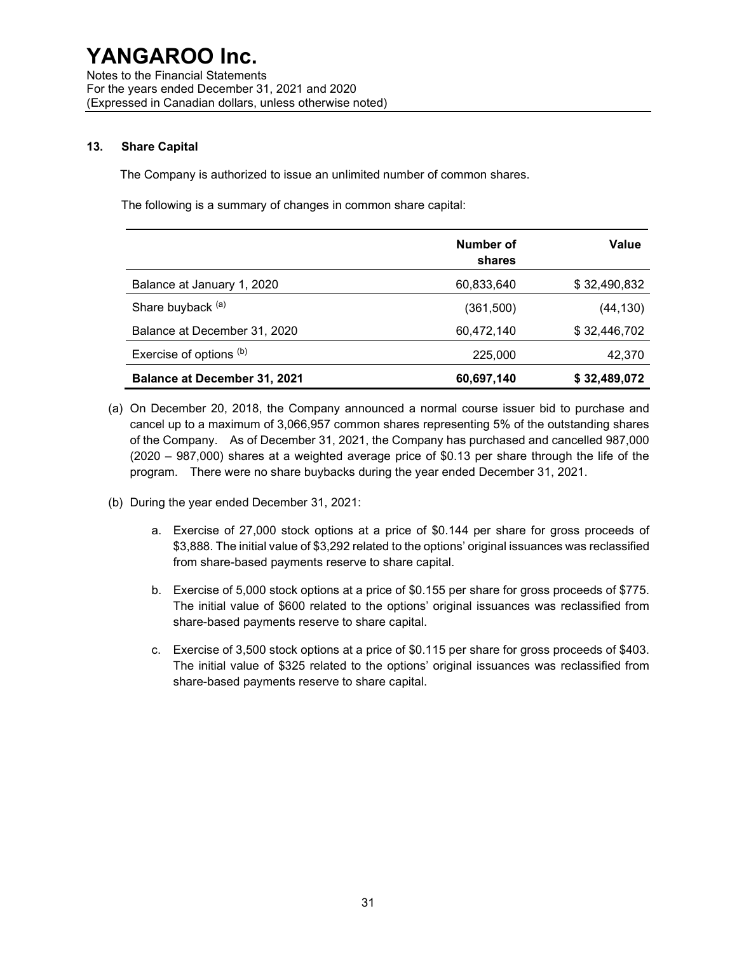#### 13. Share Capital

The Company is authorized to issue an unlimited number of common shares.

The following is a summary of changes in common share capital:

|                                     | Number of<br>shares | Value        |
|-------------------------------------|---------------------|--------------|
| Balance at January 1, 2020          | 60,833,640          | \$32,490,832 |
| Share buyback (a)                   | (361,500)           | (44, 130)    |
| Balance at December 31, 2020        | 60,472,140          | \$32,446,702 |
| Exercise of options (b)             | 225,000             | 42,370       |
| <b>Balance at December 31, 2021</b> | 60,697,140          | \$32,489,072 |

- (a) On December 20, 2018, the Company announced a normal course issuer bid to purchase and cancel up to a maximum of 3,066,957 common shares representing 5% of the outstanding shares of the Company. As of December 31, 2021, the Company has purchased and cancelled 987,000 (2020 – 987,000) shares at a weighted average price of \$0.13 per share through the life of the program. There were no share buybacks during the year ended December 31, 2021.
- (b) During the year ended December 31, 2021:
	- a. Exercise of 27,000 stock options at a price of \$0.144 per share for gross proceeds of \$3,888. The initial value of \$3,292 related to the options' original issuances was reclassified from share-based payments reserve to share capital.
	- b. Exercise of 5,000 stock options at a price of \$0.155 per share for gross proceeds of \$775. The initial value of \$600 related to the options' original issuances was reclassified from share-based payments reserve to share capital.
	- c. Exercise of 3,500 stock options at a price of \$0.115 per share for gross proceeds of \$403. The initial value of \$325 related to the options' original issuances was reclassified from share-based payments reserve to share capital.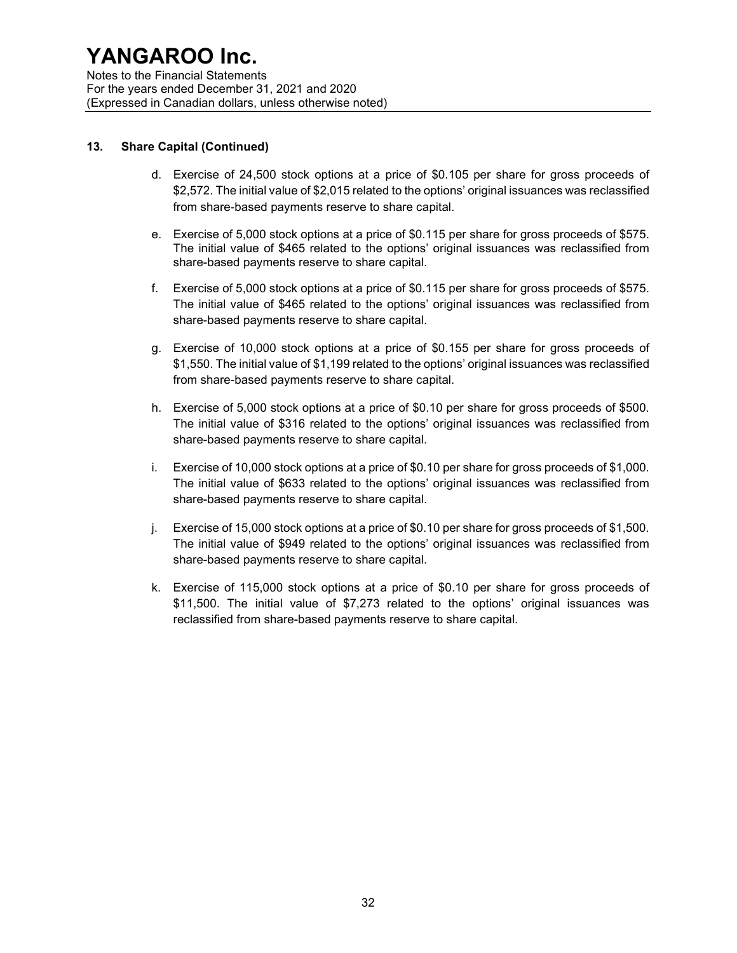Notes to the Financial Statements For the years ended December 31, 2021 and 2020 (Expressed in Canadian dollars, unless otherwise noted)

#### 13. Share Capital (Continued)

- d. Exercise of 24,500 stock options at a price of \$0.105 per share for gross proceeds of \$2,572. The initial value of \$2,015 related to the options' original issuances was reclassified from share-based payments reserve to share capital.
- e. Exercise of 5,000 stock options at a price of \$0.115 per share for gross proceeds of \$575. The initial value of \$465 related to the options' original issuances was reclassified from share-based payments reserve to share capital.
- f. Exercise of 5,000 stock options at a price of \$0.115 per share for gross proceeds of \$575. The initial value of \$465 related to the options' original issuances was reclassified from share-based payments reserve to share capital.
- g. Exercise of 10,000 stock options at a price of \$0.155 per share for gross proceeds of \$1,550. The initial value of \$1,199 related to the options' original issuances was reclassified from share-based payments reserve to share capital.
- h. Exercise of 5,000 stock options at a price of \$0.10 per share for gross proceeds of \$500. The initial value of \$316 related to the options' original issuances was reclassified from share-based payments reserve to share capital.
- i. Exercise of 10,000 stock options at a price of \$0.10 per share for gross proceeds of \$1,000. The initial value of \$633 related to the options' original issuances was reclassified from share-based payments reserve to share capital.
- j. Exercise of 15,000 stock options at a price of \$0.10 per share for gross proceeds of \$1,500. The initial value of \$949 related to the options' original issuances was reclassified from share-based payments reserve to share capital.
- k. Exercise of 115,000 stock options at a price of \$0.10 per share for gross proceeds of \$11,500. The initial value of \$7,273 related to the options' original issuances was reclassified from share-based payments reserve to share capital.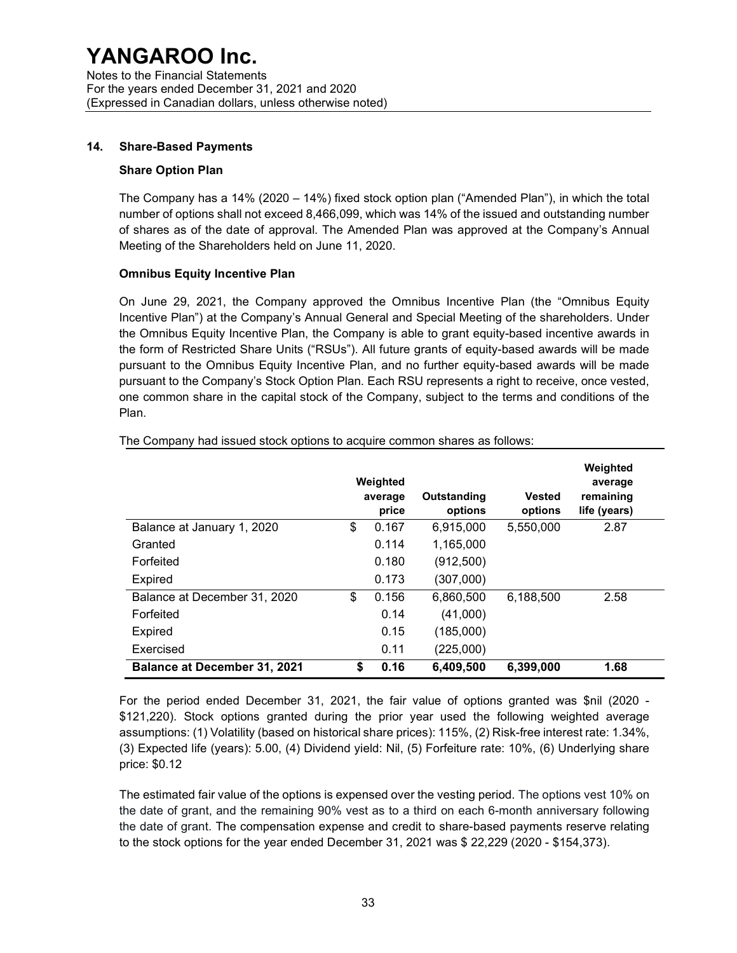#### 14. Share-Based Payments

#### Share Option Plan

The Company has a 14% (2020 – 14%) fixed stock option plan ("Amended Plan"), in which the total number of options shall not exceed 8,466,099, which was 14% of the issued and outstanding number of shares as of the date of approval. The Amended Plan was approved at the Company's Annual Meeting of the Shareholders held on June 11, 2020.

### Omnibus Equity Incentive Plan

On June 29, 2021, the Company approved the Omnibus Incentive Plan (the "Omnibus Equity Incentive Plan") at the Company's Annual General and Special Meeting of the shareholders. Under the Omnibus Equity Incentive Plan, the Company is able to grant equity-based incentive awards in the form of Restricted Share Units ("RSUs"). All future grants of equity-based awards will be made pursuant to the Omnibus Equity Incentive Plan, and no further equity-based awards will be made pursuant to the Company's Stock Option Plan. Each RSU represents a right to receive, once vested, one common share in the capital stock of the Company, subject to the terms and conditions of the Plan.

|                                     | Weighted<br>average<br>price | Outstanding<br>options | <b>Vested</b><br>options | Weighted<br>average<br>remaining<br>life (years) |
|-------------------------------------|------------------------------|------------------------|--------------------------|--------------------------------------------------|
| Balance at January 1, 2020          | \$<br>0.167                  | 6,915,000              | 5,550,000                | 2.87                                             |
| Granted                             | 0.114                        | 1,165,000              |                          |                                                  |
| Forfeited                           | 0.180                        | (912, 500)             |                          |                                                  |
| <b>Expired</b>                      | 0.173                        | (307,000)              |                          |                                                  |
| Balance at December 31, 2020        | \$<br>0.156                  | 6.860.500              | 6.188.500                | 2.58                                             |
| Forfeited                           | 0.14                         | (41,000)               |                          |                                                  |
| <b>Expired</b>                      | 0.15                         | (185,000)              |                          |                                                  |
| Exercised                           | 0.11                         | (225,000)              |                          |                                                  |
| <b>Balance at December 31, 2021</b> | \$<br>0.16                   | 6,409,500              | 6,399,000                | 1.68                                             |

The Company had issued stock options to acquire common shares as follows:

For the period ended December 31, 2021, the fair value of options granted was \$nil (2020 - \$121,220). Stock options granted during the prior year used the following weighted average assumptions: (1) Volatility (based on historical share prices): 115%, (2) Risk-free interest rate: 1.34%, (3) Expected life (years): 5.00, (4) Dividend yield: Nil, (5) Forfeiture rate: 10%, (6) Underlying share price: \$0.12

The estimated fair value of the options is expensed over the vesting period. The options vest 10% on the date of grant, and the remaining 90% vest as to a third on each 6-month anniversary following the date of grant. The compensation expense and credit to share-based payments reserve relating to the stock options for the year ended December 31, 2021 was \$ 22,229 (2020 - \$154,373).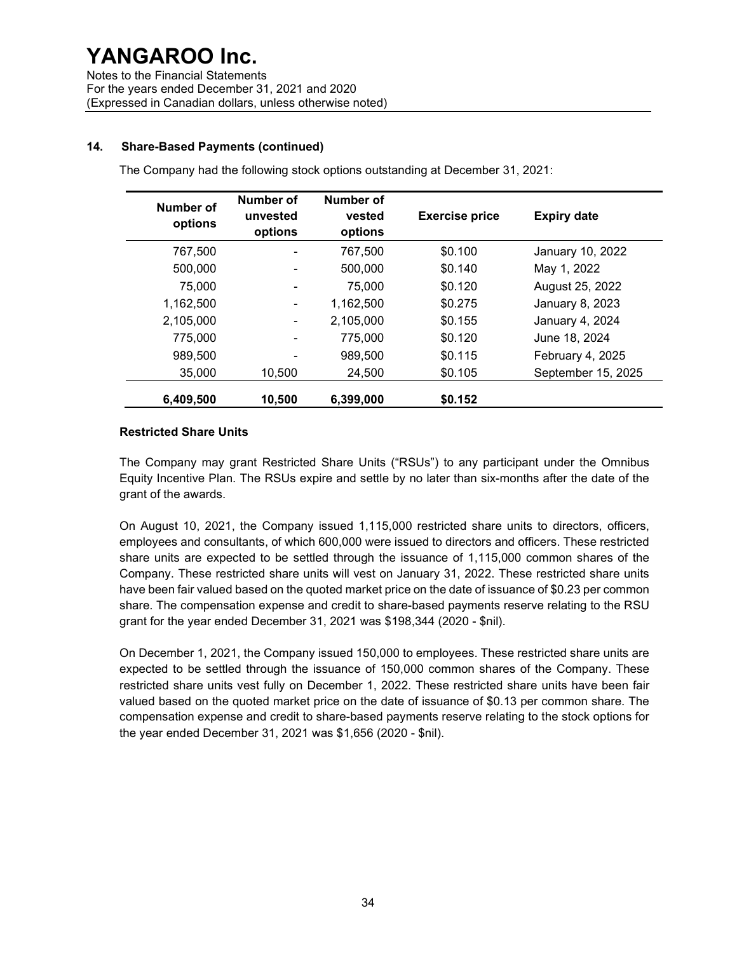### 14. Share-Based Payments (continued)

The Company had the following stock options outstanding at December 31, 2021:

| Number of<br>options | Number of<br>unvested<br>options | Number of<br>vested<br>options | <b>Exercise price</b> | <b>Expiry date</b> |
|----------------------|----------------------------------|--------------------------------|-----------------------|--------------------|
| 767,500              |                                  | 767,500                        | \$0.100               | January 10, 2022   |
| 500,000              |                                  | 500,000                        | \$0.140               | May 1, 2022        |
| 75,000               |                                  | 75,000                         | \$0.120               | August 25, 2022    |
| 1,162,500            |                                  | 1,162,500                      | \$0.275               | January 8, 2023    |
| 2,105,000            |                                  | 2,105,000                      | \$0.155               | January 4, 2024    |
| 775,000              |                                  | 775,000                        | \$0.120               | June 18, 2024      |
| 989,500              |                                  | 989,500                        | \$0.115               | February 4, 2025   |
| 35,000               | 10,500                           | 24,500                         | \$0.105               | September 15, 2025 |
| 6,409,500            | 10,500                           | 6,399,000                      | \$0.152               |                    |

#### Restricted Share Units

The Company may grant Restricted Share Units ("RSUs") to any participant under the Omnibus Equity Incentive Plan. The RSUs expire and settle by no later than six-months after the date of the grant of the awards.

On August 10, 2021, the Company issued 1,115,000 restricted share units to directors, officers, employees and consultants, of which 600,000 were issued to directors and officers. These restricted share units are expected to be settled through the issuance of 1,115,000 common shares of the Company. These restricted share units will vest on January 31, 2022. These restricted share units have been fair valued based on the quoted market price on the date of issuance of \$0.23 per common share. The compensation expense and credit to share-based payments reserve relating to the RSU grant for the year ended December 31, 2021 was \$198,344 (2020 - \$nil).

On December 1, 2021, the Company issued 150,000 to employees. These restricted share units are expected to be settled through the issuance of 150,000 common shares of the Company. These restricted share units vest fully on December 1, 2022. These restricted share units have been fair valued based on the quoted market price on the date of issuance of \$0.13 per common share. The compensation expense and credit to share-based payments reserve relating to the stock options for the year ended December 31, 2021 was \$1,656 (2020 - \$nil).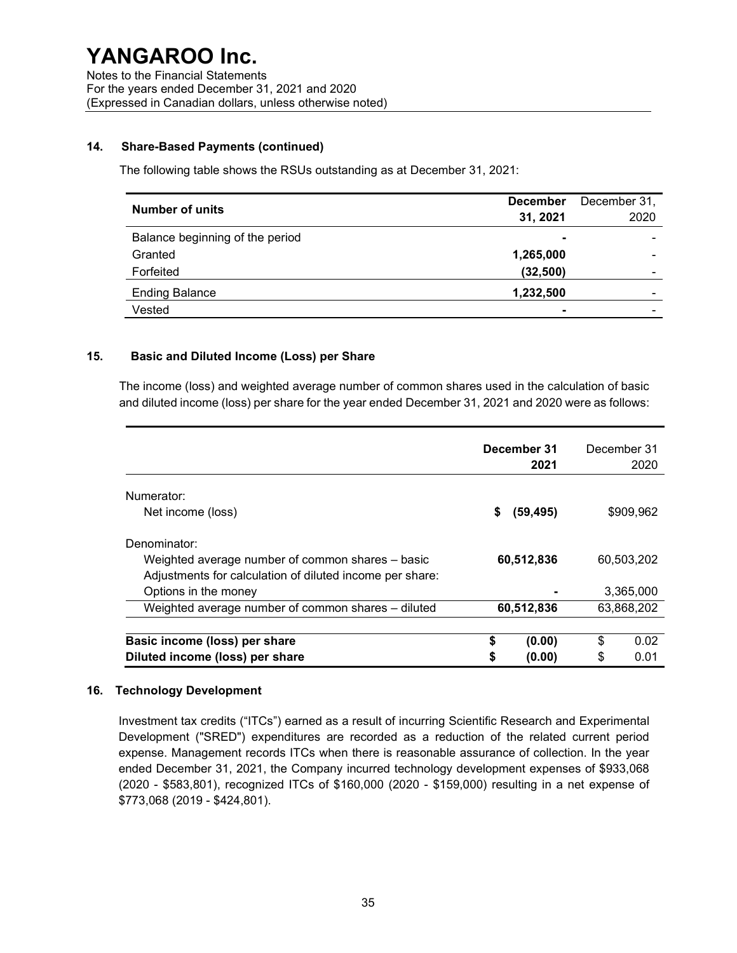### 14. Share-Based Payments (continued)

The following table shows the RSUs outstanding as at December 31, 2021:

| <b>Number of units</b>          | <b>December</b><br>31, 2021 | December 31,<br>2020 |
|---------------------------------|-----------------------------|----------------------|
| Balance beginning of the period | $\blacksquare$              |                      |
| Granted                         | 1,265,000                   |                      |
| Forfeited                       | (32, 500)                   |                      |
| <b>Ending Balance</b>           | 1,232,500                   |                      |
| Vested                          |                             |                      |

#### 15. Basic and Diluted Income (Loss) per Share

The income (loss) and weighted average number of common shares used in the calculation of basic and diluted income (loss) per share for the year ended December 31, 2021 and 2020 were as follows:

|                                                          | December 31<br>2021 |    | December 31<br>2020 |
|----------------------------------------------------------|---------------------|----|---------------------|
| Numerator:                                               |                     |    |                     |
| Net income (loss)                                        | \$<br>(59, 495)     |    | \$909,962           |
| Denominator:                                             |                     |    |                     |
| Weighted average number of common shares - basic         | 60,512,836          |    | 60,503,202          |
| Adjustments for calculation of diluted income per share: |                     |    |                     |
| Options in the money                                     |                     |    | 3,365,000           |
| Weighted average number of common shares - diluted       | 60,512,836          |    | 63,868,202          |
|                                                          |                     |    |                     |
| Basic income (loss) per share                            | \$<br>(0.00)        | \$ | 0.02                |
| Diluted income (loss) per share                          | (0.00)              | S  | 0.01                |

#### 16. Technology Development

Investment tax credits ("ITCs") earned as a result of incurring Scientific Research and Experimental Development ("SRED") expenditures are recorded as a reduction of the related current period expense. Management records ITCs when there is reasonable assurance of collection. In the year ended December 31, 2021, the Company incurred technology development expenses of \$933,068 (2020 - \$583,801), recognized ITCs of \$160,000 (2020 - \$159,000) resulting in a net expense of \$773,068 (2019 - \$424,801).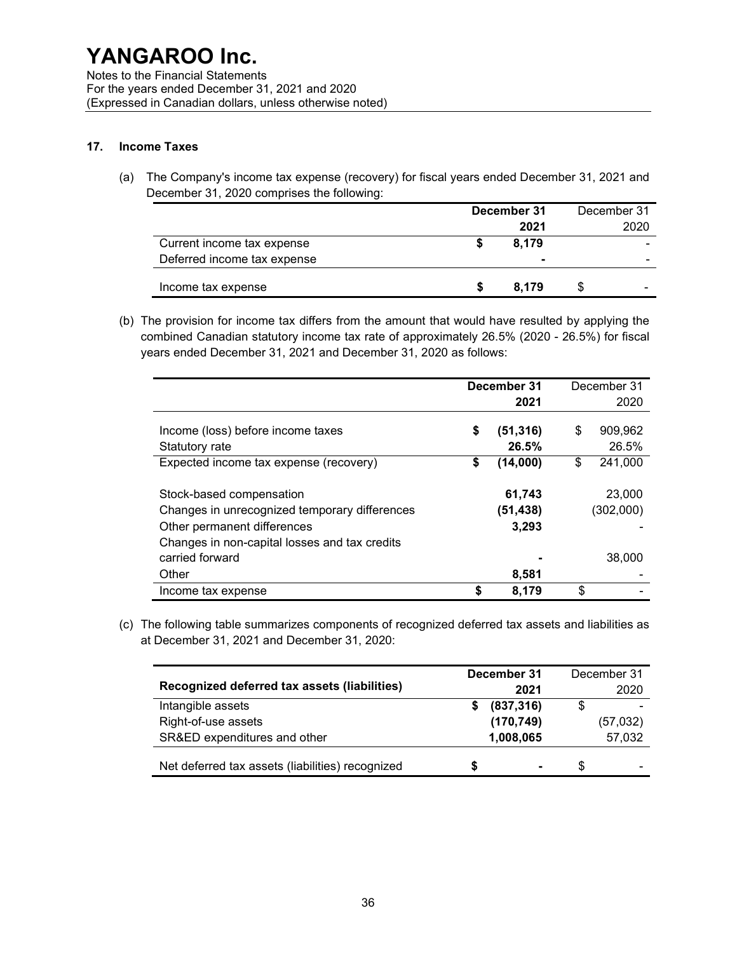Notes to the Financial Statements For the years ended December 31, 2021 and 2020 (Expressed in Canadian dollars, unless otherwise noted)

#### 17. Income Taxes

(a) The Company's income tax expense (recovery) for fiscal years ended December 31, 2021 and December 31, 2020 comprises the following:

|                             | December 31 |  | December 31 |  |  |
|-----------------------------|-------------|--|-------------|--|--|
|                             | 2021        |  | 2020        |  |  |
| Current income tax expense  | 8.179       |  | -           |  |  |
| Deferred income tax expense | -           |  | -           |  |  |
| Income tax expense          | 8.179       |  |             |  |  |

(b) The provision for income tax differs from the amount that would have resulted by applying the combined Canadian statutory income tax rate of approximately 26.5% (2020 - 26.5%) for fiscal years ended December 31, 2021 and December 31, 2020 as follows:

|                                               | December 31 |           | December 31   |
|-----------------------------------------------|-------------|-----------|---------------|
|                                               |             | 2021      | 2020          |
|                                               |             |           |               |
| Income (loss) before income taxes             | \$          | (51, 316) | \$<br>909,962 |
| Statutory rate                                |             | 26.5%     | 26.5%         |
| Expected income tax expense (recovery)        | \$          | (14,000)  | \$<br>241,000 |
| Stock-based compensation                      |             | 61,743    | 23,000        |
| Changes in unrecognized temporary differences |             | (51,438)  | (302,000)     |
| Other permanent differences                   |             | 3,293     |               |
| Changes in non-capital losses and tax credits |             |           |               |
| carried forward                               |             |           | 38,000        |
| Other                                         |             | 8,581     |               |
| Income tax expense                            |             | 8,179     | \$            |

(c) The following table summarizes components of recognized deferred tax assets and liabilities as at December 31, 2021 and December 31, 2020:

|                                                  |   | December 31    | December 31 |
|--------------------------------------------------|---|----------------|-------------|
| Recognized deferred tax assets (liabilities)     |   | 2021           | 2020        |
| Intangible assets                                | S | (837, 316)     | \$          |
| Right-of-use assets                              |   | (170, 749)     | (57, 032)   |
| SR&ED expenditures and other                     |   | 1,008,065      | 57,032      |
| Net deferred tax assets (liabilities) recognized | S | $\blacksquare$ | \$<br>-     |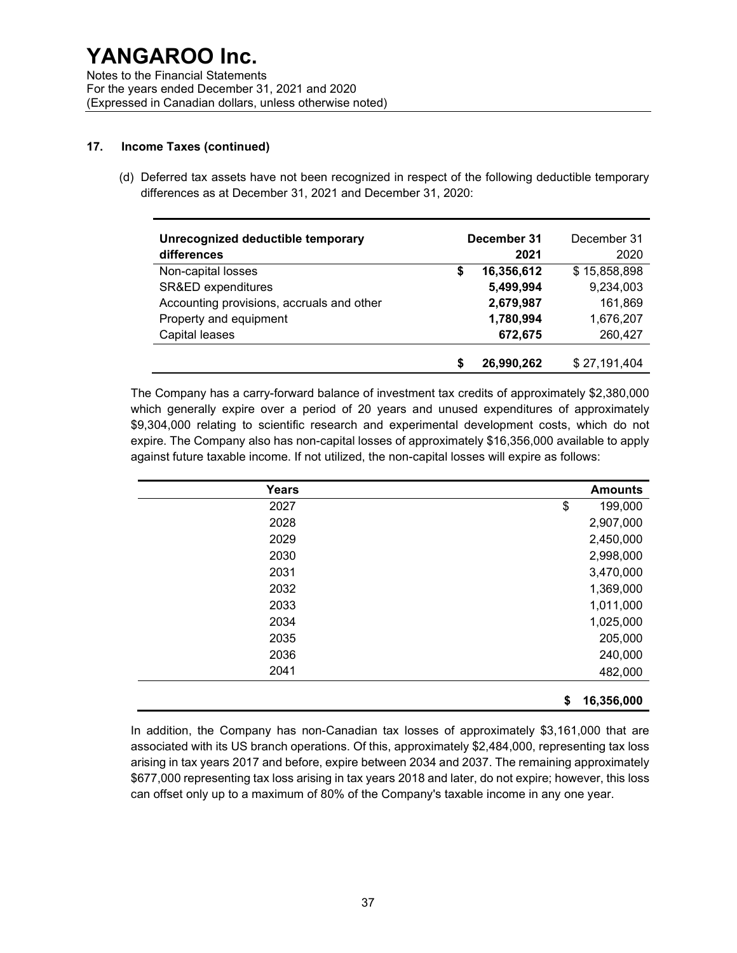Notes to the Financial Statements For the years ended December 31, 2021 and 2020 (Expressed in Canadian dollars, unless otherwise noted)

#### 17. Income Taxes (continued)

(d) Deferred tax assets have not been recognized in respect of the following deductible temporary differences as at December 31, 2021 and December 31, 2020:

| Unrecognized deductible temporary<br>differences | December 31<br>2021 | December 31<br>2020 |
|--------------------------------------------------|---------------------|---------------------|
| Non-capital losses                               | 16,356,612<br>\$    | \$15,858,898        |
| SR&ED expenditures                               | 5,499,994           | 9,234,003           |
| Accounting provisions, accruals and other        | 2,679,987           | 161,869             |
| Property and equipment                           | 1,780,994           | 1,676,207           |
| Capital leases                                   | 672,675             | 260,427             |
|                                                  | 26,990,262<br>S     | \$27,191,404        |

The Company has a carry-forward balance of investment tax credits of approximately \$2,380,000 which generally expire over a period of 20 years and unused expenditures of approximately \$9,304,000 relating to scientific research and experimental development costs, which do not expire. The Company also has non-capital losses of approximately \$16,356,000 available to apply against future taxable income. If not utilized, the non-capital losses will expire as follows:

| Years | <b>Amounts</b>   |
|-------|------------------|
| 2027  | \$<br>199,000    |
| 2028  | 2,907,000        |
| 2029  | 2,450,000        |
| 2030  | 2,998,000        |
| 2031  | 3,470,000        |
| 2032  | 1,369,000        |
| 2033  | 1,011,000        |
| 2034  | 1,025,000        |
| 2035  | 205,000          |
| 2036  | 240,000          |
| 2041  | 482,000          |
|       | 16,356,000<br>\$ |

In addition, the Company has non-Canadian tax losses of approximately \$3,161,000 that are associated with its US branch operations. Of this, approximately \$2,484,000, representing tax loss arising in tax years 2017 and before, expire between 2034 and 2037. The remaining approximately \$677,000 representing tax loss arising in tax years 2018 and later, do not expire; however, this loss can offset only up to a maximum of 80% of the Company's taxable income in any one year.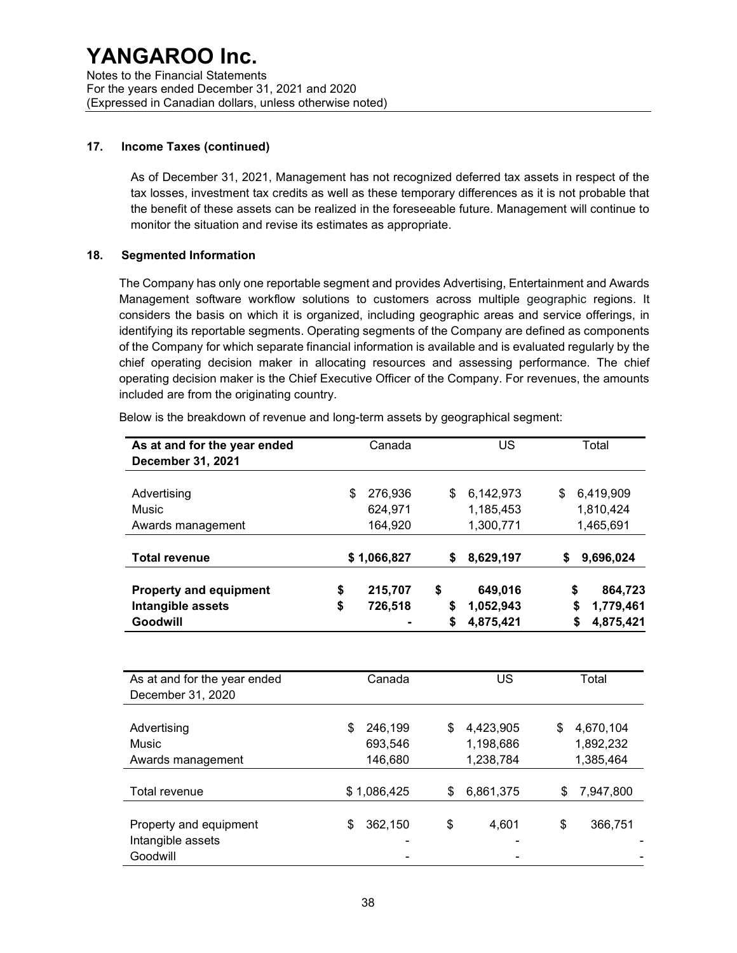#### 17. Income Taxes (continued)

As of December 31, 2021, Management has not recognized deferred tax assets in respect of the tax losses, investment tax credits as well as these temporary differences as it is not probable that the benefit of these assets can be realized in the foreseeable future. Management will continue to monitor the situation and revise its estimates as appropriate.

#### 18. Segmented Information

The Company has only one reportable segment and provides Advertising, Entertainment and Awards Management software workflow solutions to customers across multiple geographic regions. It considers the basis on which it is organized, including geographic areas and service offerings, in identifying its reportable segments. Operating segments of the Company are defined as components of the Company for which separate financial information is available and is evaluated regularly by the chief operating decision maker in allocating resources and assessing performance. The chief operating decision maker is the Chief Executive Officer of the Company. For revenues, the amounts included are from the originating country.

| As at and for the year ended<br>December 31, 2021 | Canada        | US              |    | Total           |
|---------------------------------------------------|---------------|-----------------|----|-----------------|
| Advertising                                       | \$<br>276,936 | \$<br>6,142,973 | \$ | 6,419,909       |
| Music                                             | 624,971       | 1,185,453       |    | 1,810,424       |
| Awards management                                 | 164,920       | 1,300,771       |    | 1,465,691       |
| <b>Total revenue</b>                              | \$1,066,827   | \$<br>8,629,197 | S  | 9,696,024       |
| <b>Property and equipment</b>                     | \$<br>215,707 | \$<br>649,016   |    | \$<br>864,723   |
| Intangible assets                                 | \$<br>726,518 | \$<br>1,052,943 |    | 1,779,461<br>\$ |
| Goodwill                                          |               | \$<br>4,875,421 |    | 4,875,421       |

Below is the breakdown of revenue and long-term assets by geographical segment:

| As at and for the year ended<br>December 31, 2020 | Canada                   |    | US                     |    | Total                  |
|---------------------------------------------------|--------------------------|----|------------------------|----|------------------------|
|                                                   |                          |    |                        |    |                        |
| Advertising<br><b>Music</b>                       | \$<br>246,199<br>693,546 | S  | 4,423,905<br>1,198,686 | \$ | 4,670,104<br>1,892,232 |
| Awards management                                 | 146,680                  |    | 1,238,784              |    | 1,385,464              |
|                                                   |                          |    |                        |    |                        |
| Total revenue                                     | \$1,086,425              | S  | 6,861,375              | S  | 7,947,800              |
| Property and equipment<br>Intangible assets       | \$<br>362,150<br>-       | \$ | 4,601                  | \$ | 366,751                |
| Goodwill                                          |                          |    | ۰<br>۰                 |    |                        |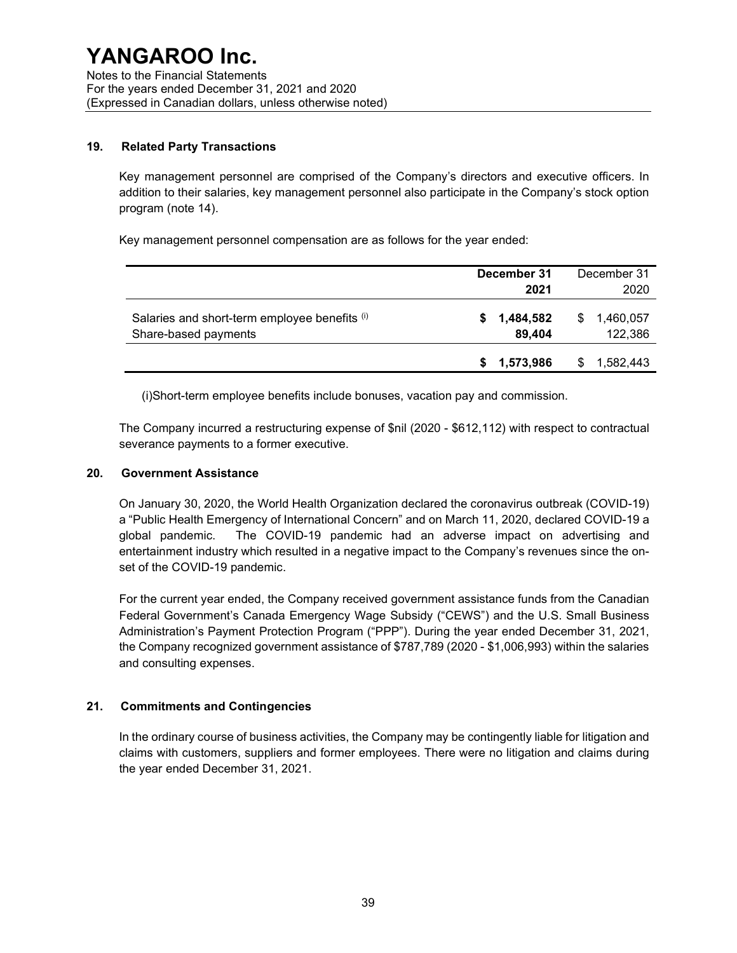#### 19. Related Party Transactions

Key management personnel are comprised of the Company's directors and executive officers. In addition to their salaries, key management personnel also participate in the Company's stock option program (note 14).

Key management personnel compensation are as follows for the year ended:

|                                                                       | December 31              | December 31               |
|-----------------------------------------------------------------------|--------------------------|---------------------------|
|                                                                       | 2021                     | 2020                      |
| Salaries and short-term employee benefits (i)<br>Share-based payments | 1,484,582<br>S<br>89,404 | 1,460,057<br>S<br>122,386 |
|                                                                       | 1,573,986<br>S.          | 1,582,443<br>S            |

(i)Short-term employee benefits include bonuses, vacation pay and commission.

The Company incurred a restructuring expense of \$nil (2020 - \$612,112) with respect to contractual severance payments to a former executive.

#### 20. Government Assistance

On January 30, 2020, the World Health Organization declared the coronavirus outbreak (COVID-19) a "Public Health Emergency of International Concern" and on March 11, 2020, declared COVID-19 a global pandemic. The COVID-19 pandemic had an adverse impact on advertising and entertainment industry which resulted in a negative impact to the Company's revenues since the onset of the COVID-19 pandemic.

For the current year ended, the Company received government assistance funds from the Canadian Federal Government's Canada Emergency Wage Subsidy ("CEWS") and the U.S. Small Business Administration's Payment Protection Program ("PPP"). During the year ended December 31, 2021, the Company recognized government assistance of \$787,789 (2020 - \$1,006,993) within the salaries and consulting expenses.

#### 21. Commitments and Contingencies

In the ordinary course of business activities, the Company may be contingently liable for litigation and claims with customers, suppliers and former employees. There were no litigation and claims during the year ended December 31, 2021.